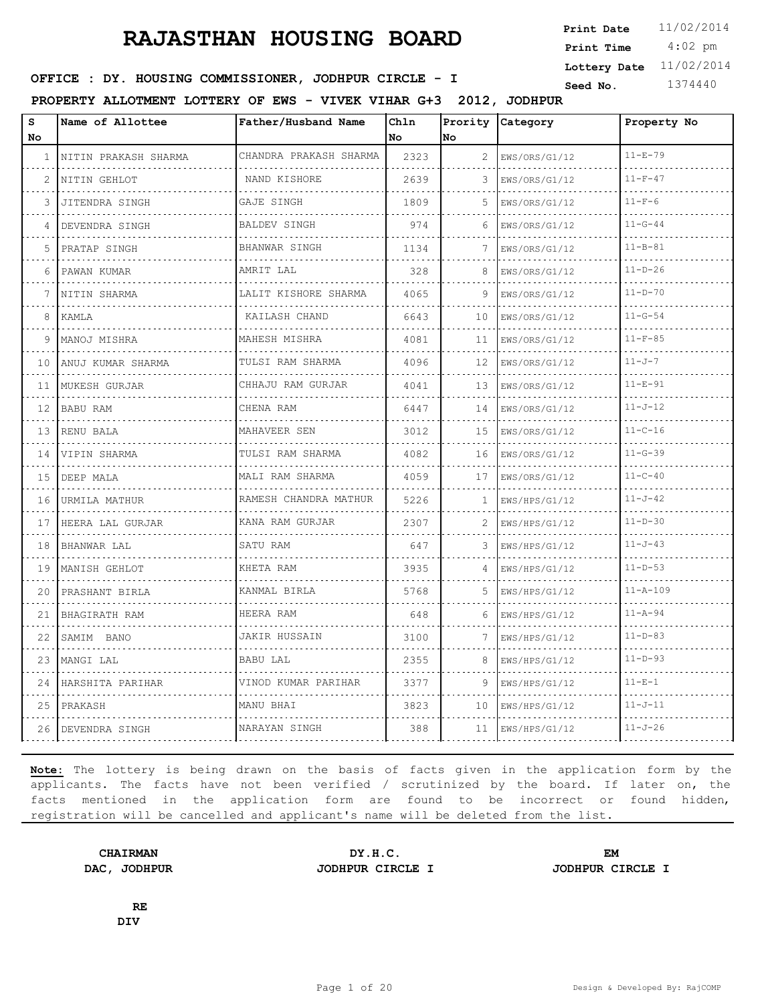4:02 pm **Print Date**  $11/02/2014$ **Print Time Lottery Date** 11/02/2014

### **SEED : DY. HOUSING COMMISSIONER, JODHPUR CIRCLE - I** Seed No. 1374440

**PROPERTY ALLOTMENT LOTTERY OF EWS - VIVEK VIHAR G+3 2012, JODHPUR**

| S<br>No | Name of Allottee     | Father/Husband Name    | Chln<br>No | Prority<br>lno. | Category           | Property No    |
|---------|----------------------|------------------------|------------|-----------------|--------------------|----------------|
| 1       | NITIN PRAKASH SHARMA | CHANDRA PRAKASH SHARMA | 2323       | 2               | EWS/ORS/G1/12      | $11 - E - 79$  |
| 2       | NITIN GEHLOT         | NAND KISHORE           | 2639       | 3               | .<br>EWS/ORS/G1/12 | $11-F-47$      |
| 3       | JITENDRA SINGH       | GAJE SINGH             | 1809       | 5               | EWS/ORS/G1/12      | $11-F-6$       |
| 4       | DEVENDRA SINGH       | <b>BALDEV SINGH</b>    | 974        | 6               | EWS/ORS/G1/12<br>. | $11 - G - 44$  |
| 5       | PRATAP SINGH         | .<br>BHANWAR SINGH     | 1134       | 7               | EWS/ORS/G1/12      | $11 - B - 81$  |
| 6       | PAWAN KUMAR          | AMRIT LAL              | 328        | 8               | EWS/ORS/G1/12      | $11 - D - 26$  |
| 7       | NITIN SHARMA         | LALIT KISHORE SHARMA   | 4065       | 9               | EWS/ORS/G1/12      | $11 - D - 70$  |
| 8       | KAMLA                | KAILASH CHAND          | 6643       | 10              | EWS/ORS/G1/12      | $11 - G - 54$  |
| 9       | MANOJ MISHRA         | MAHESH MISHRA          | 4081       | 11              | EWS/ORS/G1/12      | $11-F-85$      |
| 10      | ANUJ KUMAR SHARMA    | TULSI RAM SHARMA<br>.  | 4096       | 12              | EWS/ORS/G1/12      | $11 - J - 7$   |
| 11      | MUKESH GURJAR        | CHHAJU RAM GURJAR      | 4041       | 13              | EWS/ORS/G1/12      | $11 - E - 91$  |
| 12      | BABU RAM             | CHENA RAM              | 6447       | 14              | EWS/ORS/G1/12      | $11 - J - 12$  |
| 13      | RENU BALA            | MAHAVEER SEN           | 3012       | 15              | EWS/ORS/G1/12      | $11 - C - 16$  |
| 14      | VIPIN SHARMA         | TULSI RAM SHARMA       | 4082       | 16              | EWS/ORS/G1/12      | $11 - G - 39$  |
| 15      | DEEP MALA            | MALI RAM SHARMA        | 4059       | 17              | EWS/ORS/G1/12      | $11 - C - 40$  |
| 16      | URMILA MATHUR        | RAMESH CHANDRA MATHUR  | 5226       | $\mathbf{1}$    | EWS/HPS/G1/12      | $11 - J - 42$  |
| 17      | HEERA LAL GURJAR     | KANA RAM GURJAR        | 2307       | 2               | EWS/HPS/G1/12      | $11 - D - 30$  |
| 18      | BHANWAR LAL          | SATU RAM               | 647        | 3               | EWS/HPS/G1/12      | $11 - J - 43$  |
| 19      | MANISH GEHLOT        | KHETA RAM              | 3935       | $\Delta$        | EWS/HPS/G1/12      | $11 - D - 53$  |
| 20      | PRASHANT BIRLA       | KANMAL BIRLA           | 5768       | 5               | EWS/HPS/G1/12      | $11 - A - 109$ |
| 21      | BHAGIRATH RAM        | HEERA RAM              | 648        | 6               | EWS/HPS/G1/12      | $11 - A - 94$  |
| 22      | SAMIM BANO           | JAKIR HUSSAIN          | 3100       | 7               | EWS/HPS/G1/12      | $11-D-83$      |
| 23      | MANGI LAL            | BABU LAL               | 2355       | 8               | EWS/HPS/G1/12      | $11 - D - 93$  |
| 24      | HARSHITA PARIHAR     | VINOD KUMAR PARIHAR    | 3377       | 9               | EWS/HPS/G1/12      | $11 - E - 1$   |
| 25      | PRAKASH              | MANU BHAI              | 3823       | 10              | EWS/HPS/G1/12      | $11 - J - 11$  |
| 26      | DEVENDRA SINGH       | NARAYAN SINGH          | 388        | 11              | EWS/HPS/G1/12      | $11 - J - 26$  |

**Note:** The lottery is being drawn on the basis of facts given in the application form by the applicants. The facts have not been verified / scrutinized by the board. If later on, the facts mentioned in the application form are found to be incorrect or found hidden, registration will be cancelled and applicant's name will be deleted from the list.

**CHAIRMAN DY.H.C. EM DAC, JODHPUR JODHPUR CIRCLE I JODHPUR CIRCLE I**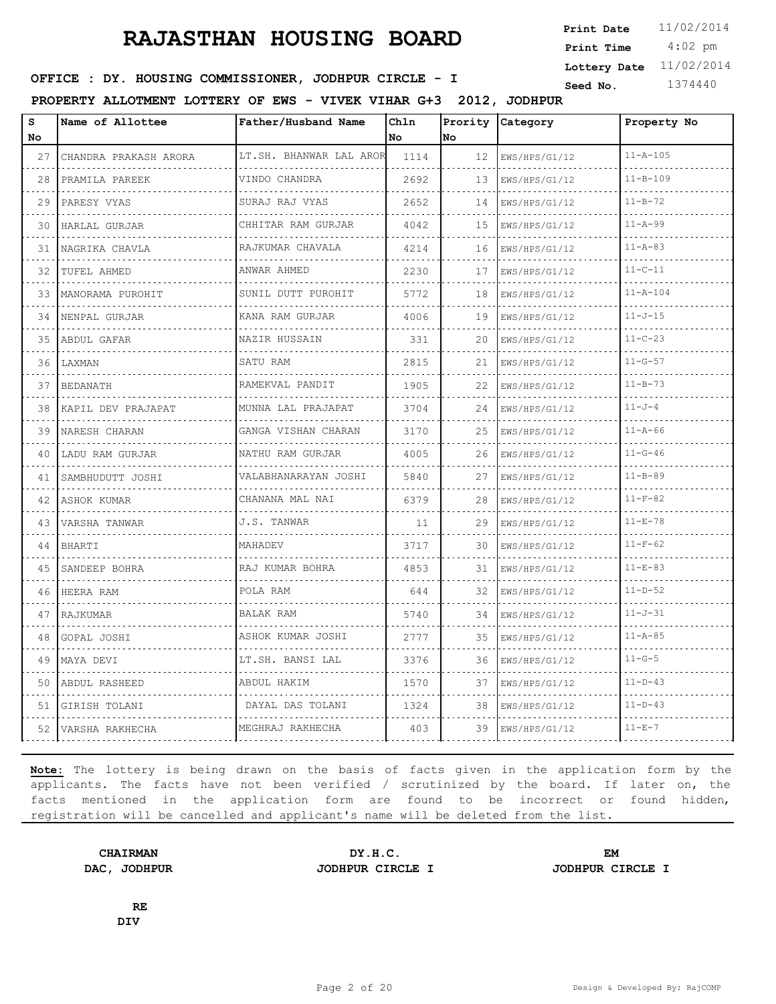4:02 pm **Print Date**  $11/02/2014$ **Print Time Lottery Date** 11/02/2014

### **SEED : DY. HOUSING COMMISSIONER, JODHPUR CIRCLE - I** Seed No. 1374440

**PROPERTY ALLOTMENT LOTTERY OF EWS - VIVEK VIHAR G+3 2012, JODHPUR**

| s<br><b>No</b> | Name of Allottee            | Father/Husband Name     | Chln<br><b>No</b> | Prority<br>lno. | Category           | Property No    |
|----------------|-----------------------------|-------------------------|-------------------|-----------------|--------------------|----------------|
| 27             | CHANDRA PRAKASH ARORA       | LT.SH. BHANWAR LAL AROR | 1114              | 12 <sup>°</sup> | EWS/HPS/G1/12      | $11 - A - 105$ |
| 28             | PRAMILA PAREEK              | VINDO CHANDRA           | 2692              | 13              | .<br>EWS/HPS/G1/12 | $11 - B - 109$ |
| 29             | PARESY VYAS                 | SURAJ RAJ VYAS          | 2652              | 14              | EWS/HPS/G1/12      | $11 - B - 72$  |
| 30             | HARLAL GURJAR               | CHHITAR RAM GURJAR      | 4042              | 15              | EWS/HPS/G1/12      | $11 - A - 99$  |
| 31             | NAGRIKA CHAVLA              | RAJKUMAR CHAVALA        | 4214              | 16              | EWS/HPS/G1/12      | $11 - A - 83$  |
| 32             | TUFEL AHMED                 | ANWAR AHMED             | 2230              | 17              | EWS/HPS/G1/12      | $11 - C - 11$  |
| 33             | MANORAMA PUROHIT            | SUNIL DUTT PUROHIT      | 5772              | 18              | EWS/HPS/G1/12      | $11 - A - 104$ |
| 34             | NENPAL GURJAR               | KANA RAM GURJAR         | 4006              | 19              | .<br>EWS/HPS/G1/12 | $11 - J - 15$  |
| 35             | ABDUL GAFAR                 | NAZIR HUSSAIN           | 331               | 20              | EWS/HPS/G1/12      | $11 - C - 23$  |
| 36             | LAXMAN                      | SATU RAM                | 2815              | 21              | EWS/HPS/G1/12      | $11 - G - 57$  |
| 37             | <u>.</u><br><b>BEDANATH</b> | RAMEKVAL PANDIT         | 1905              | 22              | EWS/HPS/G1/12      | $11 - B - 73$  |
| 38             | KAPIL DEV PRAJAPAT          | MUNNA LAL PRAJAPAT      | 3704              | 24              | EWS/HPS/G1/12      | $11 - J - 4$   |
| 39             | NARESH CHARAN               | GANGA VISHAN CHARAN     | 3170              | 25              | EWS/HPS/G1/12      | $11 - A - 66$  |
| 40             | LADU RAM GURJAR             | NATHU RAM GURJAR        | 4005              | 26              | EWS/HPS/G1/12      | $11 - G - 46$  |
| 41             | SAMBHUDUTT JOSHI            | VALABHANARAYAN JOSHI    | 5840              | 27              | EWS/HPS/G1/12      | $11 - B - 89$  |
| 42             | ASHOK KUMAR                 | CHANANA MAL NAI         | 6379              | 28              | EWS/HPS/G1/12      | $11-F-82$      |
| 43             | VARSHA TANWAR               | J.S. TANWAR             | 11                | 29              | EWS/HPS/G1/12      | $11 - E - 78$  |
| 44             | <b>BHARTI</b>               | MAHADEV                 | 3717              | 30              | EWS/HPS/G1/12      | $11-F-62$      |
| 45             | SANDEEP BOHRA               | RAJ KUMAR BOHRA         | 4853              | 31              | EWS/HPS/G1/12      | $11 - E - 83$  |
| 46             | HEERA RAM                   | POLA RAM                | 644               | 32              | EWS/HPS/G1/12      | $11 - D - 52$  |
| 47             | RAJKUMAR                    | <b>BALAK RAM</b>        | 5740              | 34              | EWS/HPS/G1/12      | $11 - J - 31$  |
| 48             | GOPAL JOSHI                 | ASHOK KUMAR JOSHI       | 2777              | 35              | EWS/HPS/G1/12      | $11 - A - 85$  |
| 49             | MAYA DEVI                   | LT.SH. BANSI LAL        | 3376              | 36              | EWS/HPS/G1/12      | $11 - G - 5$   |
| 50             | ABDUL RASHEED               | ABDUL HAKIM             | 1570              | 37              | EWS/HPS/G1/12      | $11 - D - 43$  |
| 51             | GIRISH TOLANI               | DAYAL DAS TOLANI        | 1324              | 38              | EWS/HPS/G1/12      | $11 - D - 43$  |
|                | 52   VARSHA RAKHECHA        | MEGHRAJ RAKHECHA        | 403               | 39              | EWS/HPS/G1/12      | $11 - E - 7$   |

**Note:** The lottery is being drawn on the basis of facts given in the application form by the applicants. The facts have not been verified / scrutinized by the board. If later on, the facts mentioned in the application form are found to be incorrect or found hidden, registration will be cancelled and applicant's name will be deleted from the list.

**DAC, JODHPUR JODHPUR CIRCLE I JODHPUR CIRCLE I**

**CHAIRMAN DY.H.C. EM**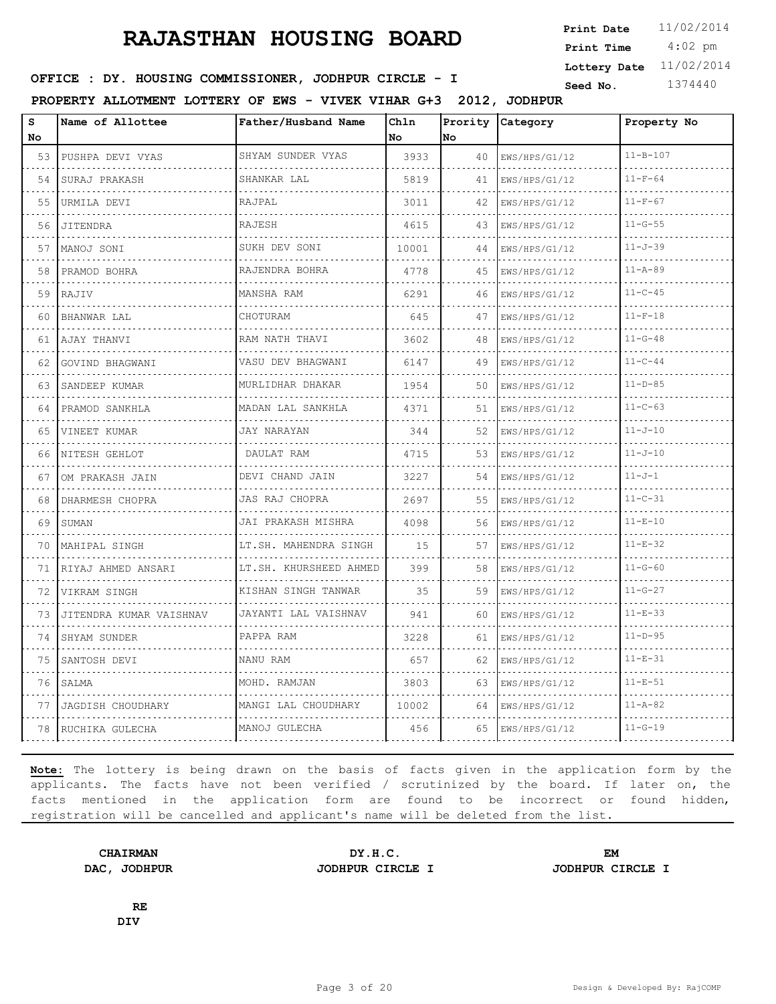4:02 pm **Print Date**  $11/02/2014$ **Print Time Lottery Date** 11/02/2014

### **SEED : DY. HOUSING COMMISSIONER, JODHPUR CIRCLE - I** Seed No. 1374440

**PROPERTY ALLOTMENT LOTTERY OF EWS - VIVEK VIHAR G+3 2012, JODHPUR**

| s<br><b>No</b> | Name of Allottee        | Father/Husband Name        | Chln<br><b>No</b> | Prority<br>lNo. | Category           | Property No    |
|----------------|-------------------------|----------------------------|-------------------|-----------------|--------------------|----------------|
| 53             | PUSHPA DEVI VYAS        | SHYAM SUNDER VYAS          | 3933              | 40              | EWS/HPS/G1/12      | $11 - B - 107$ |
| 54             | SURAJ PRAKASH           | .<br>SHANKAR LAL           | 5819              | 41              | .<br>EWS/HPS/G1/12 | $11-F-64$      |
| 55             | URMILA DEVI             | RAJPAL                     | 3011              | 42              | EWS/HPS/G1/12      | $11-F-67$      |
| 56             | JITENDRA                | <b>RAJESH</b>              | 4615              | 43              | EWS/HPS/G1/12      | $11 - G - 55$  |
| 57             | MANOJ SONI              | SUKH DEV SONI              | 10001             | 44              | .<br>EWS/HPS/G1/12 | $11 - J - 39$  |
| 58             | PRAMOD BOHRA            | RAJENDRA BOHRA             | 4778              | 45              | EWS/HPS/G1/12      | $11 - A - 89$  |
| 59             | RAJIV                   | MANSHA RAM                 | 6291              | 46              | EWS/HPS/G1/12      | $11 - C - 45$  |
| 60             | .<br><b>BHANWAR LAL</b> | CHOTURAM                   | 645               | 47              | .<br>EWS/HPS/G1/12 | $11 - F - 18$  |
| 61             | AJAY THANVI             | RAM NATH THAVI             | 3602              | 48              | EWS/HPS/G1/12      | $11 - G - 48$  |
| 62             | GOVIND BHAGWANI         | VASU DEV BHAGWANI          | 6147              | 49              | EWS/HPS/G1/12      | $11 - C - 44$  |
| 63             | SANDEEP KUMAR           | MURLIDHAR DHAKAR           | 1954              | 50              | EWS/HPS/G1/12      | $11 - D - 85$  |
| 64             | PRAMOD SANKHLA          | MADAN LAL SANKHLA          | 4371              | 51              | EWS/HPS/G1/12      | $11 - C - 63$  |
| 65             | VINEET KUMAR            | JAY NARAYAN                | 344               | 52              | EWS/HPS/G1/12      | $11 - J - 10$  |
| 66             | .<br>NITESH GEHLOT      | <u>.</u><br>DAULAT RAM     | 4715              | 53              | .<br>EWS/HPS/G1/12 | $11 - J - 10$  |
| 67             | OM PRAKASH JAIN         | DEVI CHAND JAIN            | 3227              | 54              | EWS/HPS/G1/12      | $11 - J - 1$   |
| 68             | DHARMESH CHOPRA<br>.    | JAS RAJ CHOPRA<br>.        | 2697              | 55              | EWS/HPS/G1/12      | $11 - C - 31$  |
| 69             | SUMAN                   | JAI PRAKASH MISHRA         | 4098              | 56              | EWS/HPS/G1/12      | $11 - E - 10$  |
| 70             | MAHIPAL SINGH           | LT.SH. MAHENDRA SINGH<br>. | 15                | 57              | EWS/HPS/G1/12      | $11 - E - 32$  |
| 71             | RIYAJ AHMED ANSARI      | LT.SH. KHURSHEED AHMED     | 399               | 58              | EWS/HPS/G1/12      | $11 - G - 60$  |
| 72             | VIKRAM SINGH            | KISHAN SINGH TANWAR        | 35                | 59              | EWS/HPS/G1/12      | $11 - G - 27$  |
| 73             | JITENDRA KUMAR VAISHNAV | JAYANTI LAL VAISHNAV       | 941               | 60              | EWS/HPS/G1/12      | $11 - E - 33$  |
| 74             | SHYAM SUNDER            | PAPPA RAM                  | 3228              | 61              | EWS/HPS/G1/12      | $11 - D - 95$  |
| 75             | SANTOSH DEVI            | NANU RAM                   | 657               | 62              | EWS/HPS/G1/12      | $11 - E - 31$  |
| 76             | SALMA                   | MOHD. RAMJAN               | 3803              | 63              | EWS/HPS/G1/12      | $11 - E - 51$  |
| 77             | JAGDISH CHOUDHARY       | MANGI LAL CHOUDHARY        | 10002             | 64              | EWS/HPS/G1/12      | $11 - A - 82$  |
|                | 78   RUCHIKA GULECHA    | MANOJ GULECHA              | 456               | 65.             | EWS/HPS/G1/12      | $11 - G - 19$  |

**Note:** The lottery is being drawn on the basis of facts given in the application form by the applicants. The facts have not been verified / scrutinized by the board. If later on, the facts mentioned in the application form are found to be incorrect or found hidden, registration will be cancelled and applicant's name will be deleted from the list.

**CHAIRMAN DY.H.C. EM DAC, JODHPUR JODHPUR CIRCLE I JODHPUR CIRCLE I**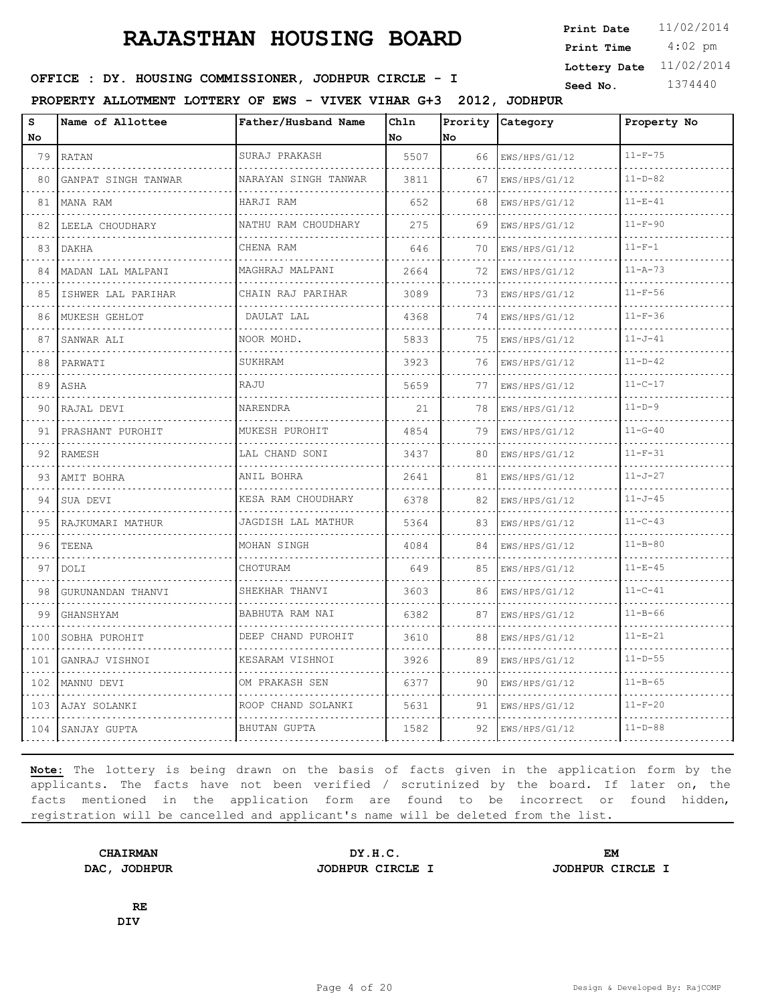4:02 pm **Print Date**  $11/02/2014$ **Print Time Lottery Date** 11/02/2014

### **SEED : DY. HOUSING COMMISSIONER, JODHPUR CIRCLE - I** Seed No. 1374440

**PROPERTY ALLOTMENT LOTTERY OF EWS - VIVEK VIHAR G+3 2012, JODHPUR**

| s<br>No. | Name of Allottee    | Father/Husband Name        | Chln<br>No. | Prority<br>lno. | <b>Category</b> | Property No   |
|----------|---------------------|----------------------------|-------------|-----------------|-----------------|---------------|
| 79       | RATAN               | SURAJ PRAKASH<br>.         | 5507        | 66              | EWS/HPS/G1/12   | $11 - F - 75$ |
| 80       | GANPAT SINGH TANWAR | NARAYAN SINGH TANWAR       | 3811        | 67              | EWS/HPS/G1/12   | $11 - D - 82$ |
| 81       | MANA RAM            | HARJI RAM                  | 652         | 68              | EWS/HPS/G1/12   | $11 - F - 41$ |
| 82       | LEELA CHOUDHARY     | NATHU RAM CHOUDHARY        | 275         | 69              | EWS/HPS/G1/12   | $11-F-90$     |
| 83       | <b>DAKHA</b>        | CHENA RAM                  | 646         | 70              | EWS/HPS/G1/12   | $11 - F - 1$  |
| 84       | MADAN LAL MALPANI   | MAGHRAJ MALPANI            | 2664        | 72              | EWS/HPS/G1/12   | $11 - A - 73$ |
| 85       | ISHWER LAL PARIHAR  | .<br>CHAIN RAJ PARIHAR     | 3089        | 73              | EWS/HPS/G1/12   | $11 - F - 56$ |
| 86       | MUKESH GEHLOT       | DAULAT LAL                 | 4368        | 74              | EWS/HPS/G1/12   | $11-F-36$     |
| 87       | SANWAR ALI          | NOOR MOHD.                 | 5833        | 75              | EWS/HPS/G1/12   | $11 - J - 41$ |
| 88       | PARWATI             | SUKHRAM                    | 3923        | 76              | EWS/HPS/G1/12   | $11-D-42$     |
| 89       | ASHA                | RAJU                       | 5659        | 77              | EWS/HPS/G1/12   | $11 - C - 17$ |
| 90       | RAJAL DEVI          | NARENDRA                   | 21          | 78              | EWS/HPS/G1/12   | $11 - D - 9$  |
| 91       | PRASHANT PUROHIT    | MUKESH PUROHIT<br><u>.</u> | 4854        | 79              | EWS/HPS/G1/12   | $11 - G - 40$ |
| 92       | RAMESH              | LAL CHAND SONI             | 3437        | 80              | EWS/HPS/G1/12   | $11 - F - 31$ |
| 93       | AMIT BOHRA          | ANIL BOHRA                 | 2641        | 81              | EWS/HPS/G1/12   | $11 - J - 27$ |
| 94       | SUA DEVI            | KESA RAM CHOUDHARY         | 6378        | 82              | EWS/HPS/G1/12   | $11 - J - 45$ |
| 95       | RAJKUMARI MATHUR    | JAGDISH LAL MATHUR         | 5364        | 83              | EWS/HPS/G1/12   | $11 - C - 43$ |
| 96       | TEENA               | MOHAN SINGH                | 4084        | 84              | EWS/HPS/G1/12   | $11 - B - 80$ |
| 97       | <b>DOLI</b>         | CHOTURAM                   | 649         | 85              | EWS/HPS/G1/12   | $11 - E - 45$ |
| 98       | GURUNANDAN THANVI   | SHEKHAR THANVI             | 3603        | 86              | EWS/HPS/G1/12   | $11 - C - 41$ |
| 99       | GHANSHYAM           | BABHUTA RAM NAI<br>.       | 6382        | 87              | EWS/HPS/G1/12   | $11 - B - 66$ |
| 100      | SOBHA PUROHIT       | DEEP CHAND PUROHIT         | 3610        | 88              | EWS/HPS/G1/12   | $11 - E - 21$ |
| 101      | GANRAJ VISHNOI      | KESARAM VISHNOI            | 3926        | 89              | EWS/HPS/G1/12   | $11 - D - 55$ |
| 102      | MANNU DEVI          | OM PRAKASH SEN             | 6377        | 90              | EWS/HPS/G1/12   | $11 - B - 65$ |
| 103      | AJAY SOLANKI        | ROOP CHAND SOLANKI         | 5631        | 91              | EWS/HPS/G1/12   | $11 - F - 20$ |
|          | 104 SANJAY GUPTA    | <b>BHUTAN GUPTA</b>        | 1582        | 92              | EWS/HPS/G1/12   | $11 - D - 88$ |

**Note:** The lottery is being drawn on the basis of facts given in the application form by the applicants. The facts have not been verified / scrutinized by the board. If later on, the facts mentioned in the application form are found to be incorrect or found hidden, registration will be cancelled and applicant's name will be deleted from the list.

**DAC, JODHPUR JODHPUR CIRCLE I JODHPUR CIRCLE I**

**CHAIRMAN DY.H.C. EM**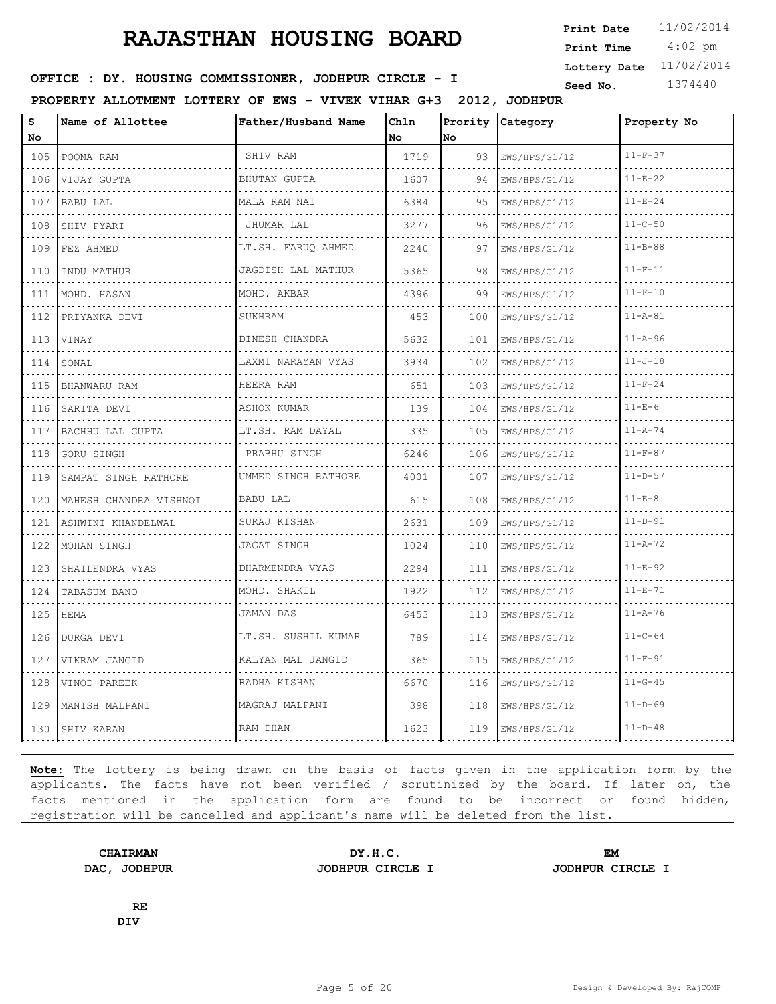4:02 pm **Print Date**  $11/02/2014$ **Print Time Lottery Date** 11/02/2014

### **SEED : DY. HOUSING COMMISSIONER, JODHPUR CIRCLE - I** Seed No. 1374440

**PROPERTY ALLOTMENT LOTTERY OF EWS - VIVEK VIHAR G+3 2012, JODHPUR**

| s<br>No                            | Name of Allottee       | Father/Husband Name | Chln<br>l No | Prority<br>No | Category                            | Property No   |
|------------------------------------|------------------------|---------------------|--------------|---------------|-------------------------------------|---------------|
| 105                                | POONA RAM              | SHIV RAM            | 1719         | 93            | EWS/HPS/G1/12                       | $11-F-37$     |
| $\sim 100$<br>106                  | VIJAY GUPTA            | BHUTAN GUPTA        | 1607         | 94            | .<br>EWS/HPS/G1/12                  | $11 - E - 22$ |
| 107                                | BABU LAL               | MALA RAM NAI        | 6384         | 95            | EWS/HPS/G1/12                       | $11 - E - 24$ |
| 108                                | SHIV PYARI             | JHUMAR LAL<br>.     | 3277         | 96            | EWS/HPS/G1/12<br>.                  | $11 - C - 50$ |
| 109                                | FEZ AHMED              | LT.SH. FARUQ AHMED  | 2240         | 97            | EWS/HPS/G1/12                       | $11 - B - 88$ |
| 110                                | INDU MATHUR            | JAGDISH LAL MATHUR  | 5365         | 98            | EWS/HPS/G1/12                       | $11-F-11$     |
| 111                                | MOHD. HASAN<br>.       | MOHD. AKBAR         | 4396         | 99            | EWS/HPS/G1/12<br>de de de de de dec | $11 - F - 10$ |
| 112                                | PRIYANKA DEVI          | <b>SUKHRAM</b>      | 453          | 100           | EWS/HPS/G1/12                       | $11 - A - 81$ |
| 113                                | VINAY                  | DINESH CHANDRA      | 5632         | 101           | EWS/HPS/G1/12                       | $11 - A - 96$ |
| 114<br>$\sim$ $\sim$ $\sim$        | SONAL                  | LAXMI NARAYAN VYAS  | 3934         | 102           | EWS/HPS/G1/12<br>.                  | $11 - J - 18$ |
| 115                                | BHANWARU RAM           | HEERA RAM           | 651          | 103           | EWS/HPS/G1/12                       | $11 - F - 24$ |
| 116                                | SARITA DEVI            | ASHOK KUMAR         | 139          | 104           | EWS/HPS/G1/12                       | $11 - E - 6$  |
| 117                                | BACHHU LAL GUPTA       | LT.SH. RAM DAYAL    | 335          | 105           | EWS/HPS/G1/12                       | $11 - A - 74$ |
| $  -$<br>118                       | GORU SINGH             | PRABHU SINGH        | 6246         | 106           | EWS/HPS/G1/12                       | $11-F-87$     |
| 119                                | SAMPAT SINGH RATHORE   | UMMED SINGH RATHORE | 4001         | 107           | EWS/HPS/G1/12                       | $11 - D - 57$ |
| 120                                | MAHESH CHANDRA VISHNOI | BABU LAL            | 615          | 108           | EWS/HPS/G1/12                       | $11 - E - 8$  |
| 121                                | ASHWINI KHANDELWAL     | SURAJ KISHAN        | 2631         | 109           | EWS/HPS/G1/12                       | $11 - D - 91$ |
| 122                                | MOHAN SINGH            | JAGAT SINGH         | 1024         | 110           | EWS/HPS/G1/12                       | $11 - A - 72$ |
| 123                                | SHAILENDRA VYAS        | DHARMENDRA VYAS     | 2294         | 111           | EWS/HPS/G1/12                       | $11 - E - 92$ |
| 124                                | TABASUM BANO           | MOHD. SHAKIL        | 1922         | 112           | EWS/HPS/G1/12                       | $11 - E - 71$ |
| $- - - -$<br>125<br>.              | <b>HEMA</b>            | JAMAN DAS           | 6453         | 113           | EWS/HPS/G1/12                       | $11 - A - 76$ |
| 126                                | DURGA DEVI             | LT.SH. SUSHIL KUMAR | 789          | 114           | EWS/HPS/G1/12                       | $11 - C - 64$ |
| 127<br>$\sim$ $\sim$ $\sim$ $\sim$ | VIKRAM JANGID          | KALYAN MAL JANGID   | 365          | 115           | EWS/HPS/G1/12                       | $11-F-91$     |
| 128                                | VINOD PAREEK           | RADHA KISHAN        | 6670         | 116           | EWS/HPS/G1/12                       | $11 - G - 45$ |
| 129                                | MANISH MALPANI         | MAGRAJ MALPANI      | 398          | 118           | EWS/HPS/G1/12                       | $11 - D - 69$ |
| 130                                | <b>SHIV KARAN</b>      | RAM DHAN            | 1623         | 119           | EWS/HPS/G1/12                       | $11-D-48$     |

**Note:** The lottery is being drawn on the basis of facts given in the application form by the applicants. The facts have not been verified / scrutinized by the board. If later on, the facts mentioned in the application form are found to be incorrect or found hidden, registration will be cancelled and applicant's name will be deleted from the list.

**DAC, JODHPUR JODHPUR CIRCLE I JODHPUR CIRCLE I**

**CHAIRMAN DY.H.C. EM**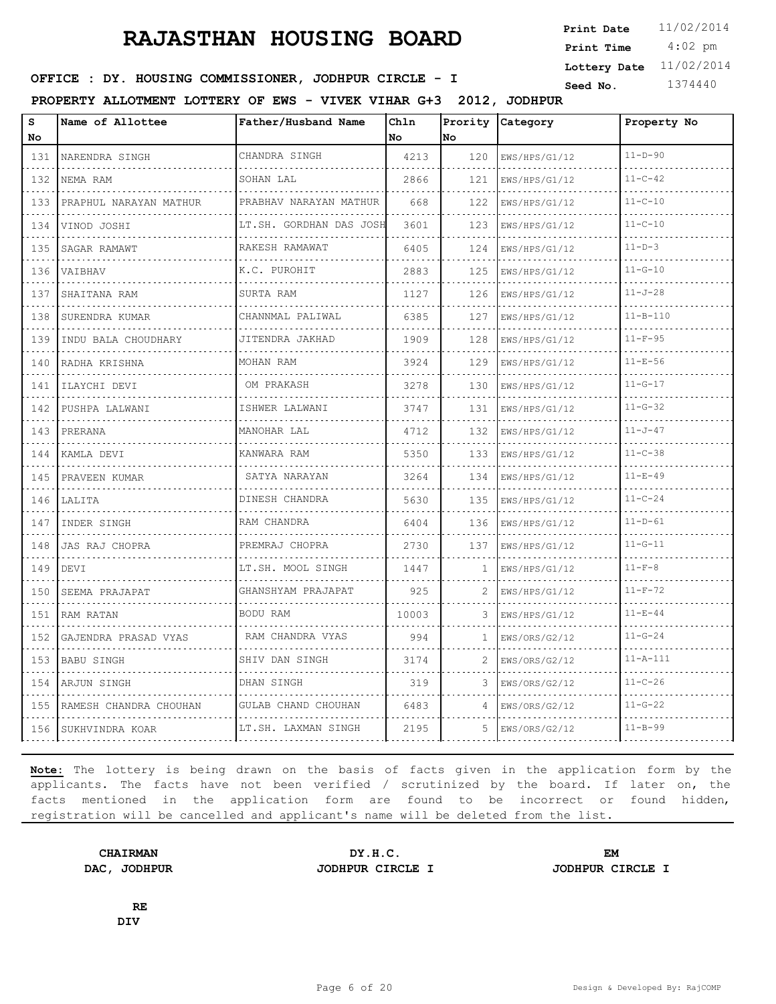4:02 pm **Print Date**  $11/02/2014$ **Print Time Lottery Date** 11/02/2014

### **SEED : DY. HOUSING COMMISSIONER, JODHPUR CIRCLE - I** Seed No. 1374440

**PROPERTY ALLOTMENT LOTTERY OF EWS - VIVEK VIHAR G+3 2012, JODHPUR**

| s<br>No                            | Name of Allottee       | Father/Husband Name                          | Chln<br>No. | Prority<br>No | Category           | Property No    |
|------------------------------------|------------------------|----------------------------------------------|-------------|---------------|--------------------|----------------|
| 131                                | NARENDRA SINGH         | CHANDRA SINGH                                | 4213        | 120           | EWS/HPS/G1/12      | $11 - D - 90$  |
| $\sim$ $\sim$ $\sim$ $\sim$<br>132 | NEMA RAM               | SOHAN LAL                                    | 2866        | 121           | .<br>EWS/HPS/G1/12 | $11 - C - 42$  |
| 133                                | PRAPHUL NARAYAN MATHUR | PRABHAV NARAYAN MATHUR                       | 668         | 122           | EWS/HPS/G1/12      | $11 - C - 10$  |
| 134                                | VINOD JOSHI            | LT.SH. GORDHAN DAS JOSH<br>.                 | 3601        | 123           | EWS/HPS/G1/12      | $11 - C - 10$  |
| 135                                | .<br>SAGAR RAMAWT      | RAKESH RAMAWAT                               | 6405        | 124           | .<br>EWS/HPS/G1/12 | $11 - D - 3$   |
| 136                                | VAIBHAV                | K.C. PUROHIT                                 | 2883        | 125           | EWS/HPS/G1/12      | $11 - G - 10$  |
| 137                                | SHAITANA RAM           | SURTA RAM                                    | 1127        | 126           | EWS/HPS/G1/12      | $11 - J - 28$  |
| 138                                | .<br>SURENDRA KUMAR    | CHANNMAL PALIWAL                             | 6385        | 127           | EWS/HPS/G1/12      | $11 - B - 110$ |
| 139                                | INDU BALA CHOUDHARY    | JITENDRA JAKHAD                              | 1909        | 128           | EWS/HPS/G1/12      | $11 - F - 95$  |
| 140                                | RADHA KRISHNA          | MOHAN RAM                                    | 3924        | 129           | EWS/HPS/G1/12      | $11 - E - 56$  |
| 141                                | ILAYCHI DEVI           | OM PRAKASH                                   | 3278        | 130           | EWS/HPS/G1/12      | $11 - G - 17$  |
| 142                                | PUSHPA LALWANI         | ISHWER LALWANI                               | 3747        | 131           | EWS/HPS/G1/12      | $11 - G - 32$  |
| 143                                | PRERANA                | MANOHAR LAL                                  | 4712        | 132           | EWS/HPS/G1/12      | $11 - J - 47$  |
| 144                                | KAMLA DEVI             | .<br>KANWARA RAM                             | 5350        | 133           | EWS/HPS/G1/12      | $11 - C - 38$  |
| 145                                | PRAVEEN KUMAR          | SATYA NARAYAN                                | 3264        | 134           | EWS/HPS/G1/12      | $11 - E - 49$  |
| 146                                | LALITA                 | DINESH CHANDRA<br><u>e e e e e e e e e e</u> | 5630        | 135           | EWS/HPS/G1/12      | $11 - C - 24$  |
| $\sim$ $\sim$ $\sim$<br>147        | INDER SINGH            | RAM CHANDRA                                  | 6404        | 136           | EWS/HPS/G1/12      | $11 - D - 61$  |
| 148                                | JAS RAJ CHOPRA         | PREMRAJ CHOPRA                               | 2730        | 137           | EWS/HPS/G1/12      | $11 - G - 11$  |
| 149                                | DEVI                   | LT.SH. MOOL SINGH                            | 1447        | $\mathbf{1}$  | EWS/HPS/G1/12      | $11 - F - 8$   |
| 150                                | SEEMA PRAJAPAT         | GHANSHYAM PRAJAPAT                           | 925         | 2             | EWS/HPS/G1/12      | $11-F-72$      |
| 151                                | RAM RATAN              | BODU RAM                                     | 10003       | 3             | EWS/HPS/G1/12      | $11 - E - 44$  |
| 152                                | GAJENDRA PRASAD VYAS   | RAM CHANDRA VYAS                             | 994         | 1             | EWS/ORS/G2/12      | $11 - G - 24$  |
| .<br>153                           | <b>BABU SINGH</b>      | SHIV DAN SINGH                               | 3174        | 2             | EWS/ORS/G2/12      | $11 - A - 111$ |
| 154                                | ARJUN SINGH            | DHAN SINGH                                   | 319         | 3             | EWS/ORS/G2/12      | $11 - C - 26$  |
| 155                                | RAMESH CHANDRA CHOUHAN | GULAB CHAND CHOUHAN                          | 6483        | 4             | EWS/ORS/G2/12      | $11 - G - 22$  |
| 156                                | SUKHVINDRA KOAR        | LT.SH. LAXMAN SINGH                          | 2195        | 5.            | EWS/ORS/G2/12      | $11 - B - 99$  |

**Note:** The lottery is being drawn on the basis of facts given in the application form by the applicants. The facts have not been verified / scrutinized by the board. If later on, the facts mentioned in the application form are found to be incorrect or found hidden, registration will be cancelled and applicant's name will be deleted from the list.

**CHAIRMAN DY.H.C. EM DAC, JODHPUR JODHPUR CIRCLE I JODHPUR CIRCLE I**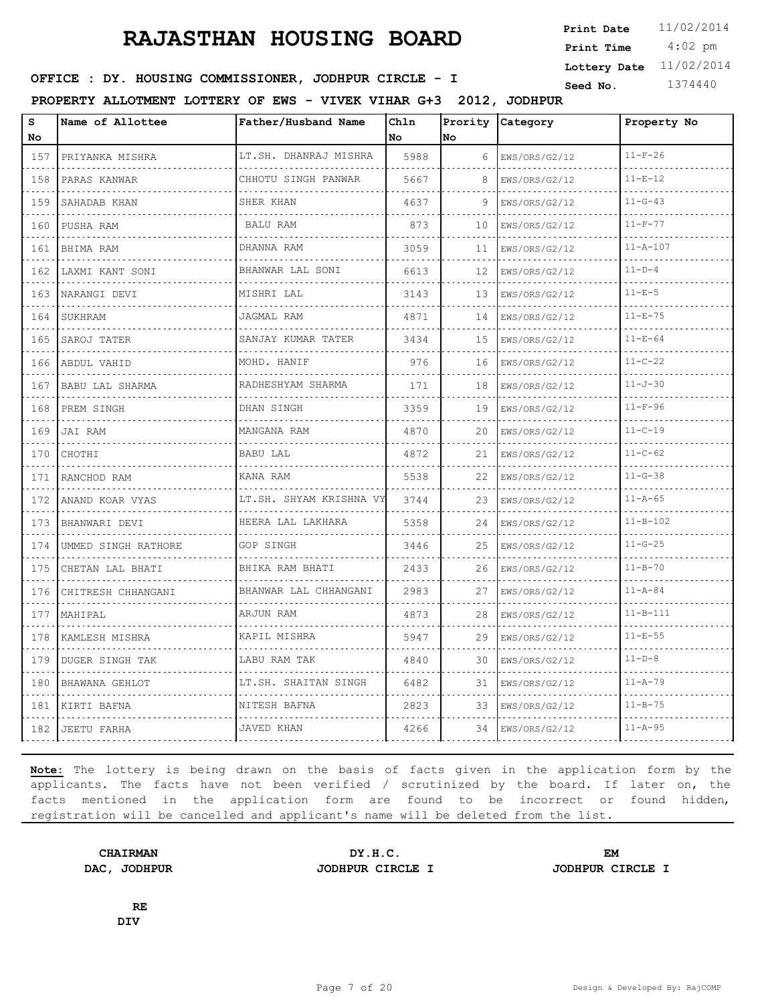4:02 pm **Print Date**  $11/02/2014$ **Print Time Lottery Date** 11/02/2014

### **SEED : DY. HOUSING COMMISSIONER, JODHPUR CIRCLE - I** Seed No. 1374440

**PROPERTY ALLOTMENT LOTTERY OF EWS - VIVEK VIHAR G+3 2012, JODHPUR**

| S<br>No                                                                                                                                                                       | Name of Allottee    | Father/Husband Name      | Chln<br>No | Prority<br>No | Category           | Property No    |
|-------------------------------------------------------------------------------------------------------------------------------------------------------------------------------|---------------------|--------------------------|------------|---------------|--------------------|----------------|
| 157                                                                                                                                                                           | PRIYANKA MISHRA     | LT.SH. DHANRAJ MISHRA    | 5988       | 6             | EWS/ORS/G2/12      | $11-F-26$      |
| .<br>158                                                                                                                                                                      | .<br>PARAS KANWAR   | .<br>CHHOTU SINGH PANWAR | 5667       | 8             | .<br>EWS/ORS/G2/12 | $11 - E - 12$  |
| 159                                                                                                                                                                           | SAHADAB KHAN        | SHER KHAN                | 4637       | 9             | EWS/ORS/G2/12      | $11 - G - 43$  |
| .<br>160                                                                                                                                                                      | PUSHA RAM           | <b>BALU RAM</b>          | 873        | 10            | EWS/ORS/G2/12      | $11 - F - 77$  |
| .<br>161                                                                                                                                                                      | BHIMA RAM           | .<br>DHANNA RAM          | 3059       | 11            | .<br>EWS/ORS/G2/12 | $11 - A - 107$ |
| 162                                                                                                                                                                           | LAXMI KANT SONI     | BHANWAR LAL SONI         | 6613       | 12            | EWS/ORS/G2/12      | $11-D-4$       |
| 163                                                                                                                                                                           | NARANGI DEVI        | MISHRI LAL<br><u>.</u> . | 3143       | 13            | EWS/ORS/G2/12      | $11-E-5$       |
| .<br>164                                                                                                                                                                      | SUKHRAM             | JAGMAL RAM               | 4871       | 14            | EWS/ORS/G2/12      | $11 - E - 75$  |
| 165<br>.                                                                                                                                                                      | SAROJ TATER         | SANJAY KUMAR TATER       | 3434       | 15            | EWS/ORS/G2/12      | $11 - E - 64$  |
| 166<br>.                                                                                                                                                                      | ABDUL VAHID         | MOHD. HANIF<br>.         | 976        | 16            | EWS/ORS/G2/12      | $11 - C - 22$  |
| 167                                                                                                                                                                           | BABU LAL SHARMA     | RADHESHYAM SHARMA        | 171        | 18            | EWS/ORS/G2/12      | $11 - J - 30$  |
| 168<br>.                                                                                                                                                                      | PREM SINGH          | DHAN SINGH               | 3359       | 19            | EWS/ORS/G2/12      | $11-F-96$      |
| 169<br>.                                                                                                                                                                      | JAI RAM             | MANGANA RAM              | 4870       | 20            | EWS/ORS/G2/12      | $11 - C - 19$  |
| 170                                                                                                                                                                           | CHOTHI              | <b>BABU LAL</b>          | 4872       | 21            | EWS/ORS/G2/12      | $11 - C - 62$  |
| 171<br>الداعات الدائد                                                                                                                                                         | RANCHOD RAM         | KANA RAM                 | 5538       | 22            | EWS/ORS/G2/12      | $11 - G - 38$  |
| 172<br>.                                                                                                                                                                      | ANAND KOAR VYAS     | LT.SH. SHYAM KRISHNA VY  | 3744       | 23            | EWS/ORS/G2/12      | $11 - A - 65$  |
| 173                                                                                                                                                                           | BHANWARI DEVI       | HEERA LAL LAKHARA        | 5358       | 24            | EWS/ORS/G2/12      | $11 - B - 102$ |
| 174                                                                                                                                                                           | UMMED SINGH RATHORE | GOP SINGH                | 3446       | 25            | EWS/ORS/G2/12      | $11 - G - 25$  |
| $\sim$ $\sim$ $\sim$ $\sim$<br>175                                                                                                                                            | CHETAN LAL BHATI    | BHIKA RAM BHATI          | 2433       | 26            | EWS/ORS/G2/12      | $11 - B - 70$  |
| 176                                                                                                                                                                           | CHITRESH CHHANGANI  | BHANWAR LAL CHHANGANI    | 2983       | 27            | EWS/ORS/G2/12      | $11 - A - 84$  |
| $\mathcal{L}^{\mathcal{A}}\left( \mathcal{L}^{\mathcal{A}}\right) =\mathcal{L}^{\mathcal{A}}\left( \mathcal{L}^{\mathcal{A}}\right)$<br>177<br>$\omega$ , $\omega$ , $\omega$ | MAHIPAL             | ARJUN RAM                | 4873       | 28            | EWS/ORS/G2/12      | $11 - B - 111$ |
| 178                                                                                                                                                                           | KAMLESH MISHRA      | KAPIL MISHRA             | 5947       | 29            | EWS/ORS/G2/12      | $11 - E - 55$  |
| 179                                                                                                                                                                           | DUGER SINGH TAK     | LABU RAM TAK             | 4840       | 30            | EWS/ORS/G2/12      | $11-D-8$       |
| $\cdots$<br>180<br>.                                                                                                                                                          | BHAWANA GEHLOT      | LT.SH. SHAITAN SINGH     | 6482       | 31            | EWS/ORS/G2/12      | $11 - A - 79$  |
| 181                                                                                                                                                                           | KIRTI BAFNA         | NITESH BAFNA             | 2823       | 33            | EWS/ORS/G2/12      | $11 - B - 75$  |
| 182                                                                                                                                                                           | JEETU FARHA         | <b>JAVED KHAN</b>        | 4266       | 34            | EWS/ORS/G2/12      | $11 - A - 95$  |

**Note:** The lottery is being drawn on the basis of facts given in the application form by the applicants. The facts have not been verified / scrutinized by the board. If later on, the facts mentioned in the application form are found to be incorrect or found hidden, registration will be cancelled and applicant's name will be deleted from the list.

**CHAIRMAN DY.H.C. EM DAC, JODHPUR JODHPUR CIRCLE I JODHPUR CIRCLE I**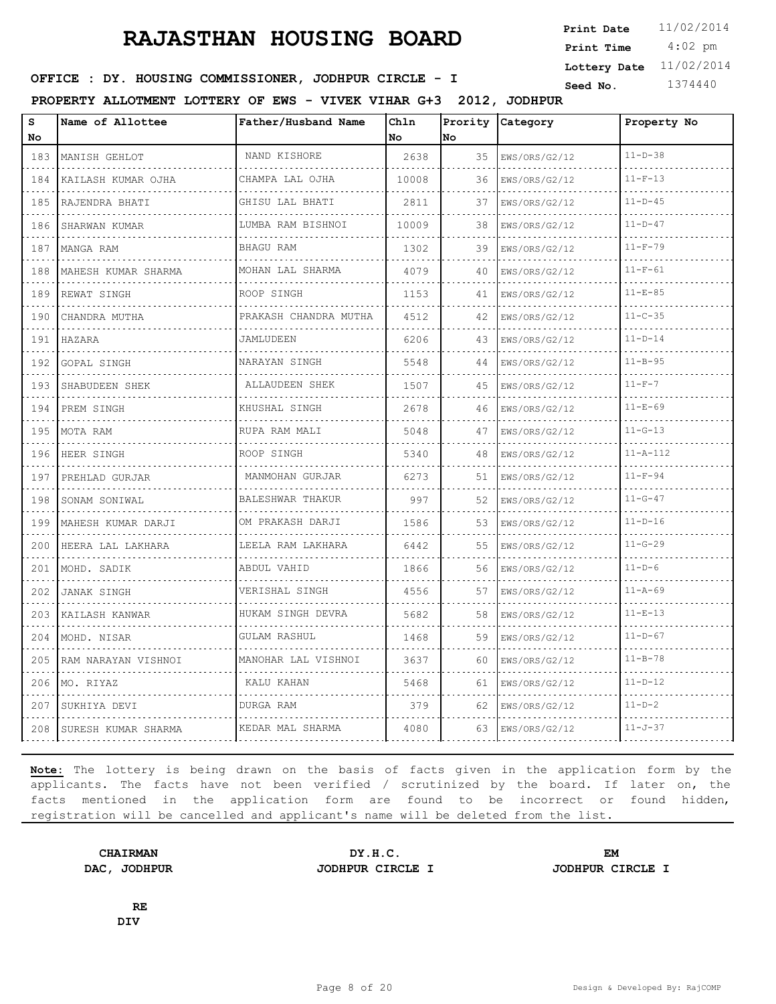4:02 pm **Print Date**  $11/02/2014$ **Print Time Lottery Date** 11/02/2014

### **SEED : DY. HOUSING COMMISSIONER, JODHPUR CIRCLE - I** Seed No. 1374440

**PROPERTY ALLOTMENT LOTTERY OF EWS - VIVEK VIHAR G+3 2012, JODHPUR**

| S<br>No       | Name of Allottee       | Father/Husband Name   | Chln<br>No | Prority<br>No | Category      | Property No    |
|---------------|------------------------|-----------------------|------------|---------------|---------------|----------------|
| 183           | MANISH GEHLOT          | NAND KISHORE          | 2638       | 35            | EWS/ORS/G2/12 | $11-D-38$      |
| .<br>184      | KAILASH KUMAR OJHA     | .<br>CHAMPA LAL OJHA  | 10008      | 36            | EWS/ORS/G2/12 | $11-F-13$      |
| 185           | RAJENDRA BHATI         | GHISU LAL BHATI       | 2811       | 37            | EWS/ORS/G2/12 | $11-D-45$      |
| 186           | SHARWAN KUMAR          | LUMBA RAM BISHNOI     | 10009      | 38            | EWS/ORS/G2/12 | $11 - D - 47$  |
| $\sim$<br>187 | MANGA RAM              | BHAGU RAM             | 1302       | 39            | EWS/ORS/G2/12 | $11 - F - 79$  |
| 188           | MAHESH KUMAR SHARMA    | MOHAN LAL SHARMA      | 4079       | 40            | EWS/ORS/G2/12 | $11-F-61$      |
| 189           | REWAT SINGH            | ROOP SINGH            | 1153       | 41            | EWS/ORS/G2/12 | $11 - E - 85$  |
| .<br>190      | CHANDRA MUTHA          | PRAKASH CHANDRA MUTHA | 4512       | 42            | EWS/ORS/G2/12 | $11 - C - 35$  |
| 191           | HAZARA                 | JAMLUDEEN             | 6206       | 43            | EWS/ORS/G2/12 | $11 - D - 14$  |
| 192           | <b>GOPAL SINGH</b>     | NARAYAN SINGH         | 5548       | 44            | EWS/ORS/G2/12 | $11 - B - 95$  |
| .<br>193      | SHABUDEEN SHEK         | ALLAUDEEN SHEK        | 1507       | 45            | EWS/ORS/G2/12 | $11-F-7$       |
| 194           | PREM SINGH             | KHUSHAL SINGH         | 2678       | 46            | EWS/ORS/G2/12 | $11 - E - 69$  |
| .<br>195      | MOTA RAM               | RUPA RAM MALI         | 5048       | 47            | EWS/ORS/G2/12 | $11 - G - 13$  |
| .<br>196      | HEER SINGH             | ROOP SINGH            | 5340       | 48            | EWS/ORS/G2/12 | $11 - A - 112$ |
| 197           | PREHLAD GURJAR         | MANMOHAN GURJAR       | 6273       | 51            | EWS/ORS/G2/12 | $11 - F - 94$  |
| 198           | SONAM SONIWAL          | BALESHWAR THAKUR      | 997        | 52            | EWS/ORS/G2/12 | $11 - G - 47$  |
| .<br>199      | MAHESH KUMAR DARJI     | OM PRAKASH DARJI      | 1586       | 53            | EWS/ORS/G2/12 | $11 - D - 16$  |
| 200           | HEERA LAL LAKHARA<br>. | LEELA RAM LAKHARA     | 6442       | 55            | EWS/ORS/G2/12 | $11 - G - 29$  |
| 201           | MOHD. SADIK            | ABDUL VAHID           | 1866       | 56            | EWS/ORS/G2/12 | $11 - D - 6$   |
| 202           | <b>JANAK SINGH</b>     | VERISHAL SINGH        | 4556       | 57            | EWS/ORS/G2/12 | $11 - A - 69$  |
| 203           | KAILASH KANWAR         | HUKAM SINGH DEVRA     | 5682       | 58            | EWS/ORS/G2/12 | $11 - E - 13$  |
| 204           | MOHD. NISAR            | GULAM RASHUL          | 1468       | 59            | EWS/ORS/G2/12 | $11 - D - 67$  |
| 205           | RAM NARAYAN VISHNOI    | MANOHAR LAL VISHNOI   | 3637       | 60            | EWS/ORS/G2/12 | $11 - B - 78$  |
| 206           | MO. RIYAZ              | KALU KAHAN            | 5468       | 61            | EWS/ORS/G2/12 | $11 - D - 12$  |
| 207           | SUKHIYA DEVI           | DURGA RAM             | 379        | 62            | EWS/ORS/G2/12 | $11 - D - 2$   |
| 208           | SURESH KUMAR SHARMA    | KEDAR MAL SHARMA      | 4080       | 63            | EWS/ORS/G2/12 | $11 - J - 37$  |

**Note:** The lottery is being drawn on the basis of facts given in the application form by the applicants. The facts have not been verified / scrutinized by the board. If later on, the facts mentioned in the application form are found to be incorrect or found hidden, registration will be cancelled and applicant's name will be deleted from the list.

**CHAIRMAN DY.H.C. EM DAC, JODHPUR JODHPUR CIRCLE I JODHPUR CIRCLE I**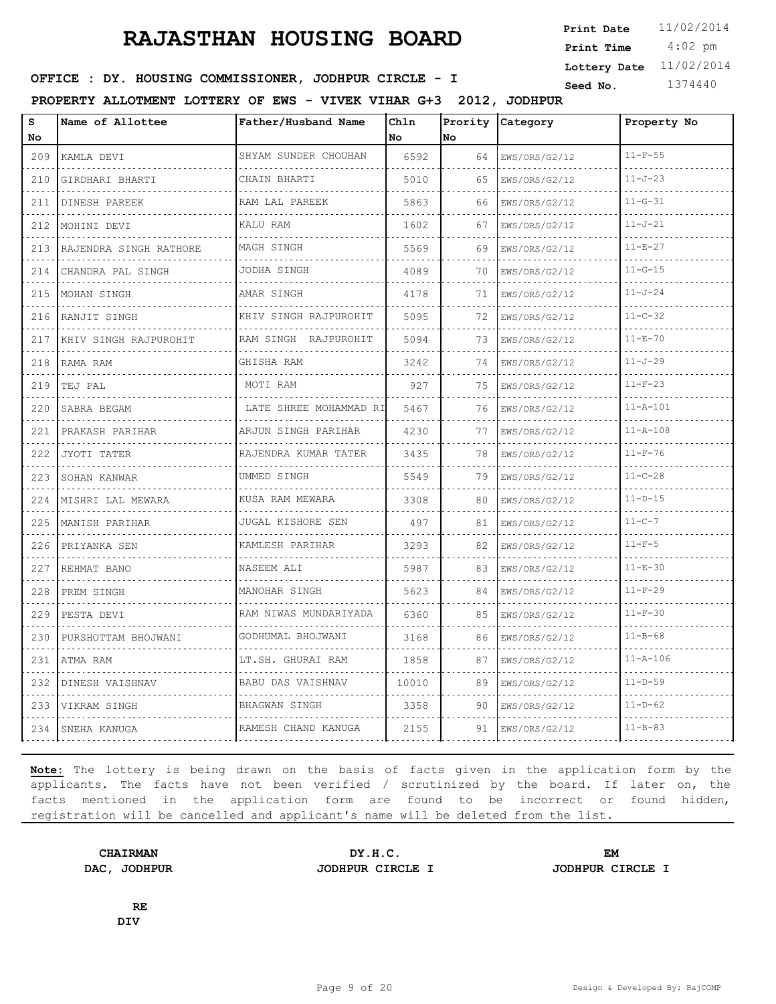4:02 pm **Print Date**  $11/02/2014$ **Print Time Lottery Date** 11/02/2014

### **SEED : DY. HOUSING COMMISSIONER, JODHPUR CIRCLE - I** Seed No. 1374440

**PROPERTY ALLOTMENT LOTTERY OF EWS - VIVEK VIHAR G+3 2012, JODHPUR**

| s<br>No | Name of Allottee           | Father/Husband Name                | Ch1n<br>No. | <b>No</b> | Prority Category | Property No    |
|---------|----------------------------|------------------------------------|-------------|-----------|------------------|----------------|
| 209     | KAMLA DEVI                 | SHYAM SUNDER CHOUHAN               | 6592        | 64        | EWS/ORS/G2/12    | $11 - F - 55$  |
| 210     | GIRDHARI BHARTI            | CHAIN BHARTI                       | 5010        | 65        | EWS/ORS/G2/12    | $11 - J - 23$  |
| 211     | DINESH PAREEK              | RAM LAL PAREEK                     | 5863        | 66        | EWS/ORS/G2/12    | $11 - G - 31$  |
| 212     | MOHINI DEVI                | KALU RAM                           | 1602        | 67        | EWS/ORS/G2/12    | $11 - J - 21$  |
| 213     | RAJENDRA SINGH RATHORE     | MAGH SINGH                         | 5569        | 69        | EWS/ORS/G2/12    | $11 - E - 27$  |
| 214     | CHANDRA PAL SINGH          | JODHA SINGH                        | 4089        | 70        | EWS/ORS/G2/12    | $11 - G - 15$  |
| 215     | MOHAN SINGH                | AMAR SINGH                         | 4178        | 71        | EWS/ORS/G2/12    | $11 - J - 24$  |
| 216     | RANJIT SINGH               | KHIV SINGH RAJPUROHIT              | 5095        | 72        | EWS/ORS/G2/12    | $11 - C - 32$  |
| 217     | KHIV SINGH RAJPUROHIT<br>. | RAM SINGH RAJPUROHIT               | 5094        | 73        | EWS/ORS/G2/12    | $11 - E - 70$  |
| 218     | RAMA RAM                   | GHISHA RAM                         | 3242        | 74        | EWS/ORS/G2/12    | $11 - J - 29$  |
| 219     | TEJ PAL                    | MOTI RAM                           | 927         | 75        | EWS/ORS/G2/12    | $11 - F - 23$  |
| 220     | SABRA BEGAM                | LATE SHREE MOHAMMAD RI<br><u>.</u> | 5467        | 76        | EWS/ORS/G2/12    | $11 - A - 101$ |
| 221     | PRAKASH PARIHAR            | ARJUN SINGH PARIHAR                | 4230        | 77        | EWS/ORS/G2/12    | $11 - A - 108$ |
| 222     | JYOTI TATER                | RAJENDRA KUMAR TATER               | 3435        | 78        | EWS/ORS/G2/12    | $11-F-76$      |
| 223     | SOHAN KANWAR               | UMMED SINGH                        | 5549        | 79        | EWS/ORS/G2/12    | $11 - C - 28$  |
| 224     | MISHRI LAL MEWARA          | KUSA RAM MEWARA                    | 3308        | 80        | EWS/ORS/G2/12    | $11 - D - 15$  |
| 225     | MANISH PARIHAR             | JUGAL KISHORE SEN                  | 497         | 81        | EWS/ORS/G2/12    | $11 - C - 7$   |
| 226     | PRIYANKA SEN               | KAMLESH PARIHAR                    | 3293        | 82        | EWS/ORS/G2/12    | $11 - F - 5$   |
| 227     | REHMAT BANO                | NASEEM ALI                         | 5987        | 83        | EWS/ORS/G2/12    | $11 - E - 30$  |
| 228     | PREM SINGH                 | MANOHAR SINGH                      | 5623        | 84        | EWS/ORS/G2/12    | $11-F-29$      |
| 229     | PESTA DEVI                 | RAM NIWAS MUNDARIYADA<br>.         | 6360        | 85        | EWS/ORS/G2/12    | $11-F-30$      |
| 230     | PURSHOTTAM BHOJWANI        | GODHUMAL BHOJWANI                  | 3168        | 86        | EWS/ORS/G2/12    | $11 - B - 68$  |
| 231     | ATMA RAM                   | LT.SH. GHURAI RAM                  | 1858        | 87        | EWS/ORS/G2/12    | $11 - A - 106$ |
| 232     | DINESH VAISHNAV            | <b>BABU DAS VAISHNAV</b>           | 10010       | 89        | EWS/ORS/G2/12    | $11 - D - 59$  |
| 233     | VIKRAM SINGH               | BHAGWAN SINGH                      | 3358        | 90        | EWS/ORS/G2/12    | $11 - D - 62$  |
| 234     | SNEHA KANUGA               | RAMESH CHAND KANUGA                | 2155        | 91        | EWS/ORS/G2/12    | $11 - B - 83$  |

**Note:** The lottery is being drawn on the basis of facts given in the application form by the applicants. The facts have not been verified / scrutinized by the board. If later on, the facts mentioned in the application form are found to be incorrect or found hidden, registration will be cancelled and applicant's name will be deleted from the list.

**DAC, JODHPUR JODHPUR CIRCLE I JODHPUR CIRCLE I**

**CHAIRMAN DY.H.C. EM**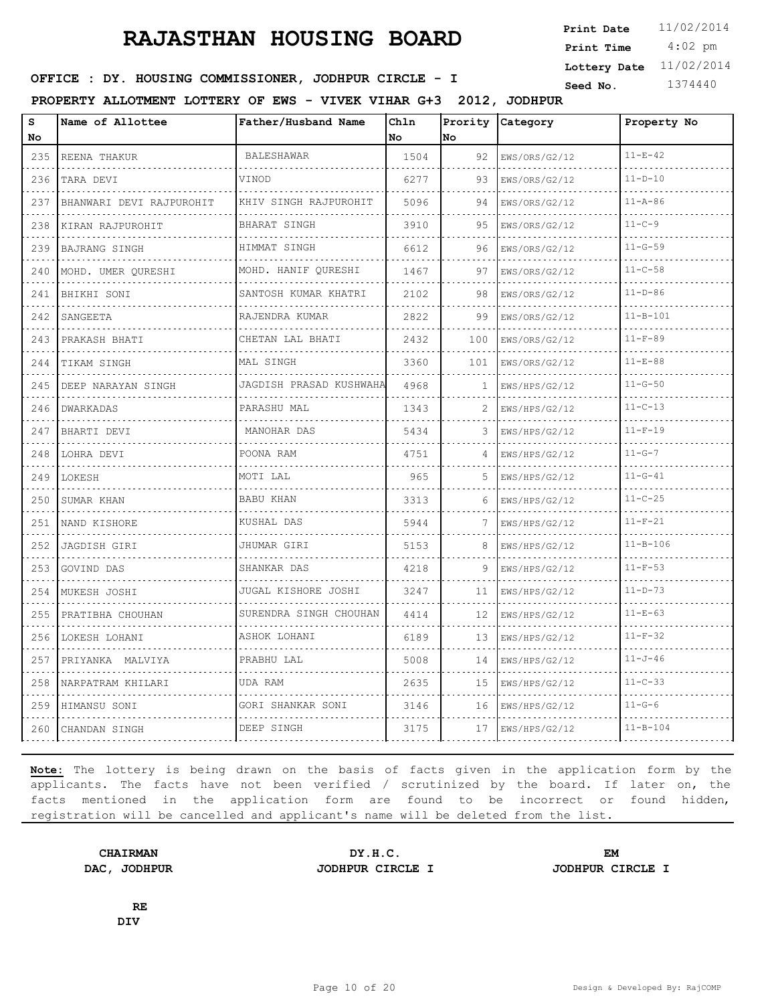4:02 pm **Print Date**  $11/02/2014$ **Print Time Lottery Date** 11/02/2014

### **SEED : DY. HOUSING COMMISSIONER, JODHPUR CIRCLE - I** Seed No. 1374440

**PROPERTY ALLOTMENT LOTTERY OF EWS - VIVEK VIHAR G+3 2012, JODHPUR**

| S<br>No                            | Name of Allottee         | Father/Husband Name         | Chln<br>No | Prority<br>No | Category           | Property No    |
|------------------------------------|--------------------------|-----------------------------|------------|---------------|--------------------|----------------|
| 235                                | REENA THAKUR             | <b>BALESHAWAR</b>           | 1504       | 92            | EWS/ORS/G2/12      | $11 - E - 42$  |
| $\sim$ $\sim$ $\sim$ $\sim$<br>236 | TARA DEVI                | VINOD                       | 6277       | 93            | .<br>EWS/ORS/G2/12 | $11 - D - 10$  |
| 237                                | BHANWARI DEVI RAJPUROHIT | KHIV SINGH RAJPUROHIT       | 5096       | 94            | EWS/ORS/G2/12      | $11 - A - 86$  |
| 238                                | KIRAN RAJPUROHIT         | BHARAT SINGH<br>.           | 3910       | 95            | EWS/ORS/G2/12      | $11 - C - 9$   |
| $   -$<br>239                      | <b>BAJRANG SINGH</b>     | HIMMAT SINGH                | 6612       | 96            | EWS/ORS/G2/12      | $11 - G - 59$  |
| 240                                | MOHD. UMER OURESHI       | MOHD. HANIF OURESHI         | 1467       | 97            | EWS/ORS/G2/12      | $11 - C - 58$  |
| 241<br>المناسبات                   | BHIKHI SONI              | SANTOSH KUMAR KHATRI<br>.   | 2102       | 98            | EWS/ORS/G2/12      | $11 - D - 86$  |
| 242                                | SANGEETA                 | RAJENDRA KUMAR              | 2822       | 99            | EWS/ORS/G2/12      | $11 - B - 101$ |
| 243                                | PRAKASH BHATI            | CHETAN LAL BHATI            | 2432       | 100           | EWS/ORS/G2/12      | $11 - F - 89$  |
| 244<br>.                           | TIKAM SINGH              | MAL SINGH                   | 3360       | 101           | EWS/ORS/G2/12      | $11 - E - 88$  |
| 245                                | DEEP NARAYAN SINGH       | JAGDISH PRASAD KUSHWAHA     | 4968       | 1             | EWS/HPS/G2/12      | $11 - G - 50$  |
| 246                                | DWARKADAS                | PARASHU MAL                 | 1343       | 2             | EWS/HPS/G2/12      | $11 - C - 13$  |
| 247                                | BHARTI DEVI              | MANOHAR DAS                 | 5434       | 3             | EWS/HPS/G2/12      | $11-F-19$      |
| 248                                | LOHRA DEVI               | POONA RAM                   | 4751       |               | EWS/HPS/G2/12      | $11 - G - 7$   |
| 249                                | LOKESH                   | MOTI LAL                    | 965        | 5             | EWS/HPS/G2/12      | $11 - G - 41$  |
| 250                                | SUMAR KHAN               | <b>BABU KHAN</b>            | 3313       | 6             | EWS/HPS/G2/12      | $11 - C - 25$  |
| 251                                | NAND KISHORE             | KUSHAL DAS                  | 5944       | 7             | EWS/HPS/G2/12      | $11-F-21$      |
| 252                                | <b>JAGDISH GIRI</b>      | JHUMAR GIRI                 | 5153       | 8             | EWS/HPS/G2/12      | $11 - B - 106$ |
| 253                                | GOVIND DAS               | SHANKAR DAS                 | 4218       | 9             | EWS/HPS/G2/12      | $11-F-53$      |
| 254<br>$  -$                       | MUKESH JOSHI             | JUGAL KISHORE JOSHI         | 3247       | 11            | EWS/HPS/G2/12      | $11 - D - 73$  |
| 255                                | PRATIBHA CHOUHAN         | SURENDRA SINGH CHOUHAN<br>. | 4414       | 12            | EWS/HPS/G2/12      | $11 - E - 63$  |
| $\sim$ $\sim$ $\sim$ $\sim$<br>256 | LOKESH LOHANI            | ASHOK LOHANI                | 6189       | 13            | EWS/HPS/G2/12      | $11-F-32$      |
| 257<br>$\sim$ $\sim$ $\sim$ $\sim$ | PRIYANKA MALVIYA         | PRABHU LAL                  | 5008       | 14            | EWS/HPS/G2/12      | $11 - J - 46$  |
| 258                                | NARPATRAM KHILARI        | UDA RAM                     | 2635       | 15            | EWS/HPS/G2/12      | $11 - C - 33$  |
| 259                                | HIMANSU SONI             | GORI SHANKAR SONI           | 3146       | 16            | EWS/HPS/G2/12      | $11 - G - 6$   |
| 260                                | CHANDAN SINGH            | DEEP SINGH                  | 3175       | 17            | EWS/HPS/G2/12      | $11 - B - 104$ |

**Note:** The lottery is being drawn on the basis of facts given in the application form by the applicants. The facts have not been verified / scrutinized by the board. If later on, the facts mentioned in the application form are found to be incorrect or found hidden, registration will be cancelled and applicant's name will be deleted from the list.

**DAC, JODHPUR JODHPUR CIRCLE I JODHPUR CIRCLE I**

**CHAIRMAN DY.H.C. EM**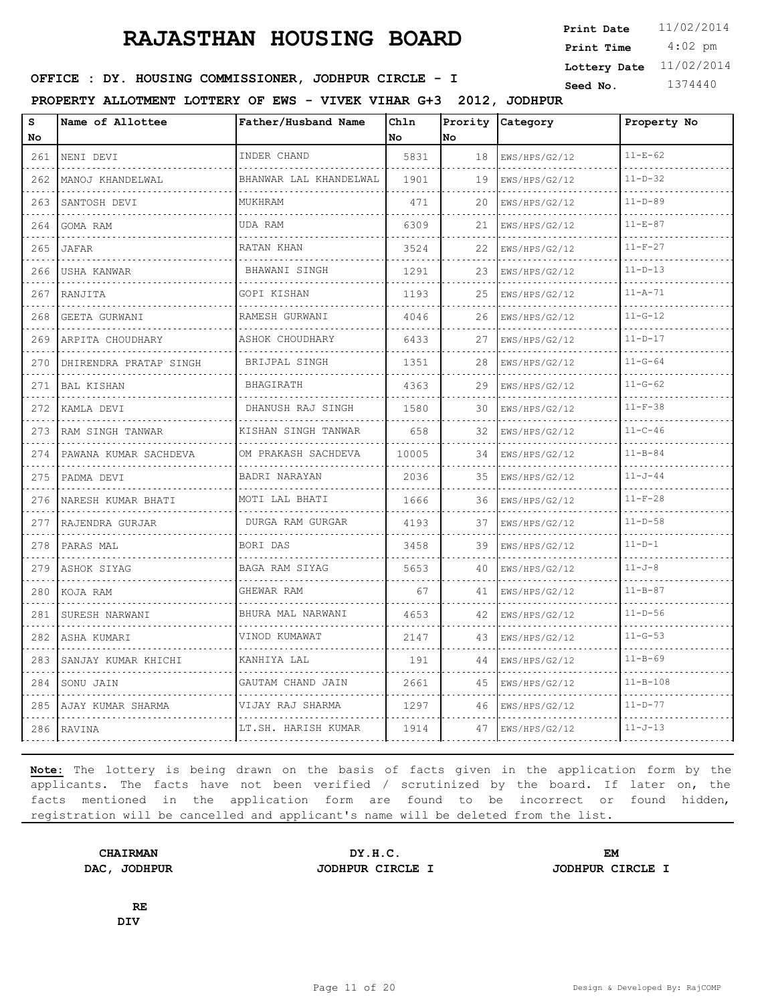4:02 pm **Print Date**  $11/02/2014$ **Print Time Lottery Date** 11/02/2014

### **SEED : DY. HOUSING COMMISSIONER, JODHPUR CIRCLE - I** Seed No. 1374440

**PROPERTY ALLOTMENT LOTTERY OF EWS - VIVEK VIHAR G+3 2012, JODHPUR**

| s<br>No          | Name of Allottee       | Father/Husband Name         | Ch1n<br>No | Prority<br>No | Category           | Property No    |
|------------------|------------------------|-----------------------------|------------|---------------|--------------------|----------------|
| 261              | NENI DEVI              | INDER CHAND                 | 5831       | 18            | EWS/HPS/G2/12      | $11 - E - 62$  |
| 262              | .<br>MANOJ KHANDELWAL  | .<br>BHANWAR LAL KHANDELWAL | 1901       | 19            | .<br>EWS/HPS/G2/12 | $11 - D - 32$  |
| 263              | SANTOSH DEVI           | MUKHRAM                     | 471        | 20            | EWS/HPS/G2/12      | $11 - D - 89$  |
| 264              | GOMA RAM               | UDA RAM                     | 6309       | 21            | EWS/HPS/G2/12      | $11 - E - 87$  |
| 265              | JAFAR                  | RATAN KHAN                  | 3524       | 22            | EWS/HPS/G2/12      | $11-F-27$      |
| 266              | USHA KANWAR            | BHAWANI SINGH               | 1291       | 23            | EWS/HPS/G2/12      | $11 - D - 13$  |
| 267              | RANJITA<br>.           | GOPI KISHAN<br>.            | 1193       | 25            | EWS/HPS/G2/12<br>. | $11 - A - 71$  |
| 268              | GEETA GURWANI          | RAMESH GURWANI              | 4046       | 26            | EWS/HPS/G2/12      | $11 - G - 12$  |
| 269              | ARPITA CHOUDHARY       | ASHOK CHOUDHARY             | 6433       | 27            | EWS/HPS/G2/12      | $11 - D - 17$  |
| 270<br>$- - - -$ | DHIRENDRA PRATAP SINGH | BRIJPAL SINGH               | 1351       | 28            | EWS/HPS/G2/12      | $11 - G - 64$  |
| 271              | <b>BAL KISHAN</b>      | BHAGIRATH                   | 4363       | 29            | EWS/HPS/G2/12      | $11 - G - 62$  |
| 272              | KAMLA DEVI             | DHANUSH RAJ SINGH<br>.      | 1580       | 30            | EWS/HPS/G2/12      | $11 - F - 38$  |
| 273              | RAM SINGH TANWAR       | KISHAN SINGH TANWAR         | 658        | 32            | EWS/HPS/G2/12      | $11 - C - 46$  |
| 274              | PAWANA KUMAR SACHDEVA  | OM PRAKASH SACHDEVA         | 10005      | 34            | EWS/HPS/G2/12      | $11 - B - 84$  |
| 275              | PADMA DEVI<br>.        | BADRI NARAYAN               | 2036       | 35            | EWS/HPS/G2/12      | $11 - J - 44$  |
| 276              | NARESH KUMAR BHATI     | MOTI LAL BHATI              | 1666       | 36            | EWS/HPS/G2/12      | $11-F-28$      |
| 277              | RAJENDRA GURJAR        | DURGA RAM GURGAR            | 4193       | 37            | EWS/HPS/G2/12      | $11 - D - 58$  |
| 278              | PARAS MAL              | BORI DAS                    | 3458       | 39            | EWS/HPS/G2/12      | $11 - D - 1$   |
| 279              | ASHOK SIYAG            | BAGA RAM SIYAG              | 5653       | 40            | EWS/HPS/G2/12      | $11 - J - 8$   |
| 280              | KOJA RAM               | GHEWAR RAM                  | 67         | 41            | EWS/HPS/G2/12      | $11 - B - 87$  |
| 281              | SURESH NARWANI         | BHURA MAL NARWANI<br>.      | 4653       | 42            | EWS/HPS/G2/12      | $11 - D - 56$  |
| 282              | ASHA KUMARI            | VINOD KUMAWAT               | 2147       | 43            | EWS/HPS/G2/12      | $11 - G - 53$  |
| 283              | SANJAY KUMAR KHICHI    | KANHIYA LAL                 | 191        | 44            | EWS/HPS/G2/12      | $11 - B - 69$  |
| 284              | SONU JAIN              | GAUTAM CHAND JAIN<br>.      | 2661       | 45            | EWS/HPS/G2/12      | $11 - B - 108$ |
| 285              | AJAY KUMAR SHARMA      | VIJAY RAJ SHARMA            | 1297       | 46            | EWS/HPS/G2/12      | $11-D-77$      |
| 286              | RAVINA                 | LT.SH. HARISH KUMAR         | 1914       | 47            | EWS/HPS/G2/12      | $11 - J - 13$  |

**Note:** The lottery is being drawn on the basis of facts given in the application form by the applicants. The facts have not been verified / scrutinized by the board. If later on, the facts mentioned in the application form are found to be incorrect or found hidden, registration will be cancelled and applicant's name will be deleted from the list.

**DAC, JODHPUR JODHPUR CIRCLE I JODHPUR CIRCLE I**

**CHAIRMAN DY.H.C. EM**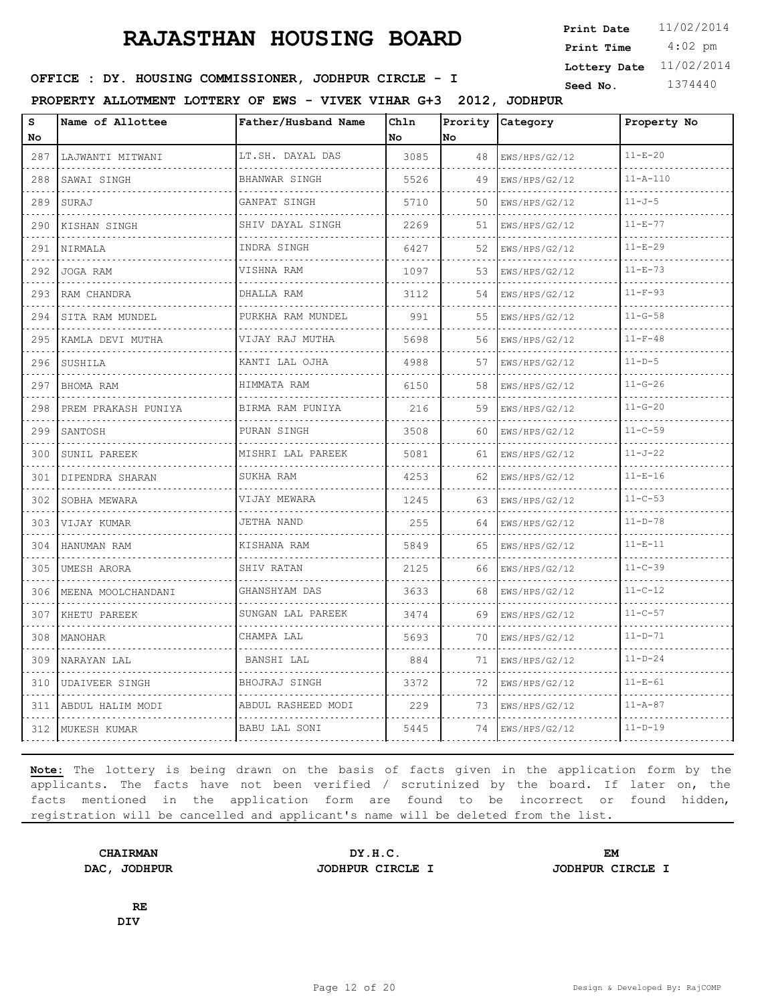4:02 pm **Print Date**  $11/02/2014$ **Print Time Lottery Date** 11/02/2014

### **SEED : DY. HOUSING COMMISSIONER, JODHPUR CIRCLE - I** Seed No. 1374440

**PROPERTY ALLOTMENT LOTTERY OF EWS - VIVEK VIHAR G+3 2012, JODHPUR**

| s<br>No | Name of Allottee      | Father/Husband Name   | Chln<br>No. | Prority<br>No | Category           | Property No    |
|---------|-----------------------|-----------------------|-------------|---------------|--------------------|----------------|
| 287     | LAJWANTI MITWANI      | LT.SH. DAYAL DAS      | 3085        | 48            | EWS/HPS/G2/12      | $11 - E - 20$  |
| 288     | SAWAI SINGH           | BHANWAR SINGH<br>.    | 5526        | 49            | EWS/HPS/G2/12<br>. | $11 - A - 110$ |
| 289     | SURAJ                 | GANPAT SINGH          | 5710        | 50            | EWS/HPS/G2/12      | $11 - J - 5$   |
| 290     | KISHAN SINGH          | SHIV DAYAL SINGH<br>. | 2269        | 51            | EWS/HPS/G2/12<br>. | $11 - E - 77$  |
| 291     | NIRMALA               | INDRA SINGH           | 6427        | 52            | EWS/HPS/G2/12      | $11 - E - 29$  |
| 292     | JOGA RAM              | VISHNA RAM            | 1097        | 53            | EWS/HPS/G2/12      | $11 - E - 73$  |
| 293     | RAM CHANDRA           | DHALLA RAM            | 3112        | 54            | EWS/HPS/G2/12      | $11 - F - 93$  |
| 294     | SITA RAM MUNDEL       | PURKHA RAM MUNDEL     | 991         | 55            | EWS/HPS/G2/12      | $11 - G - 58$  |
| 295     | KAMLA DEVI MUTHA      | VIJAY RAJ MUTHA       | 5698        | 56            | EWS/HPS/G2/12      | $11 - F - 48$  |
| 296     | SUSHILA               | KANTI LAL OJHA        | 4988        | 57            | EWS/HPS/G2/12<br>. | $11-D-5$       |
| 297     | BHOMA RAM             | HIMMATA RAM           | 6150        | 58            | EWS/HPS/G2/12      | $11 - G - 26$  |
| 298     | PREM PRAKASH PUNIYA   | BIRMA RAM PUNIYA      | 216         | 59            | EWS/HPS/G2/12      | $11 - G - 20$  |
| 299     | SANTOSH<br>.          | PURAN SINGH<br>.      | 3508        | 60            | EWS/HPS/G2/12<br>. | $11 - C - 59$  |
| 300     | SUNIL PAREEK          | MISHRI LAL PAREEK     | 5081        | 61            | EWS/HPS/G2/12      | $11 - J - 22$  |
| 301     | DIPENDRA SHARAN       | SUKHA RAM             | 4253        | 62            | EWS/HPS/G2/12      | $11 - E - 16$  |
| 302     | SOBHA MEWARA          | VIJAY MEWARA          | 1245        | 63            | EWS/HPS/G2/12      | $11 - C - 53$  |
| 303     | VIJAY KUMAR           | JETHA NAND            | 255         | 64            | EWS/HPS/G2/12      | $11 - D - 78$  |
| 304     | HANUMAN RAM           | KISHANA RAM           | 5849        | 65            | EWS/HPS/G2/12      | $11 - E - 11$  |
| 305     | UMESH ARORA           | SHIV RATAN            | 2125        | 66            | EWS/HPS/G2/12      | $11 - C - 39$  |
| 306     | MEENA MOOLCHANDANI    | GHANSHYAM DAS         | 3633        | 68            | EWS/HPS/G2/12      | $11 - C - 12$  |
| 307     | KHETU PAREEK          | SUNGAN LAL PAREEK     | 3474        | 69            | EWS/HPS/G2/12      | $11 - C - 57$  |
| 308     | MANOHAR               | CHAMPA LAL            | 5693        | 70            | EWS/HPS/G2/12      | $11 - D - 71$  |
| 309     | NARAYAN LAL           | BANSHI LAL            | 884         | 71            | EWS/HPS/G2/12      | $11 - D - 24$  |
| 310     | <b>UDAIVEER SINGH</b> | BHOJRAJ SINGH         | 3372        | 72            | EWS/HPS/G2/12      | $11 - E - 61$  |
| 311     | ABDUL HALIM MODI      | ABDUL RASHEED MODI    | 229         | 73            | EWS/HPS/G2/12      | $11 - A - 87$  |
| 312     | MUKESH KUMAR          | BABU LAL SONI         | 5445        | 74            | EWS/HPS/G2/12      | $11 - D - 19$  |

**Note:** The lottery is being drawn on the basis of facts given in the application form by the applicants. The facts have not been verified / scrutinized by the board. If later on, the facts mentioned in the application form are found to be incorrect or found hidden, registration will be cancelled and applicant's name will be deleted from the list.

**DAC, JODHPUR JODHPUR CIRCLE I JODHPUR CIRCLE I**

**CHAIRMAN DY.H.C. EM**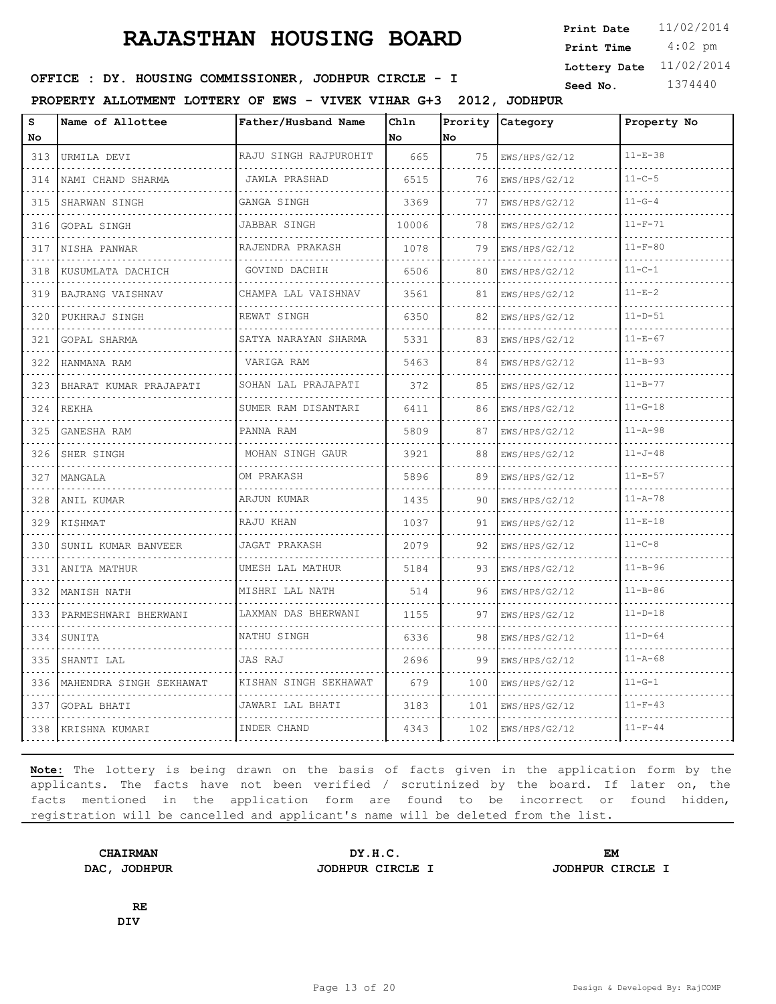4:02 pm **Print Date**  $11/02/2014$ **Print Time Lottery Date** 11/02/2014

### **SEED : DY. HOUSING COMMISSIONER, JODHPUR CIRCLE - I** Seed No. 1374440

**PROPERTY ALLOTMENT LOTTERY OF EWS - VIVEK VIHAR G+3 2012, JODHPUR**

| S<br>No                               | Name of Allottee        | Father/Husband Name      | Chln<br>No | Prority<br>No | Category      | Property No   |
|---------------------------------------|-------------------------|--------------------------|------------|---------------|---------------|---------------|
| 313                                   | URMILA DEVI             | RAJU SINGH RAJPUROHIT    | 665        | 75            | EWS/HPS/G2/12 | $11 - E - 38$ |
| $\sim$ $\sim$ $\sim$ $\sim$<br>314    | NAMI CHAND SHARMA       | JAWLA PRASHAD            | 6515       | 76            | EWS/HPS/G2/12 | $11 - C - 5$  |
| 315                                   | SHARWAN SINGH           | GANGA SINGH              | 3369       | 77            | EWS/HPS/G2/12 | $11 - G - 4$  |
| 316                                   | GOPAL SINGH             | JABBAR SINGH             | 10006      | 78            | EWS/HPS/G2/12 | $11-F-71$     |
| $   -$<br>317                         | NISHA PANWAR            | .<br>RAJENDRA PRAKASH    | 1078       | 79            | EWS/HPS/G2/12 | $11 - F - 80$ |
| 318                                   | KUSUMLATA DACHICH       | GOVIND DACHIH            | 6506       | 80            | EWS/HPS/G2/12 | $11 - C - 1$  |
| 319                                   | BAJRANG VAISHNAV        | CHAMPA LAL VAISHNAV      | 3561       | 81            | EWS/HPS/G2/12 | $11 - E - 2$  |
| د د د د<br>320                        | PUKHRAJ SINGH           | REWAT SINGH              | 6350       | 82            | EWS/HPS/G2/12 | $11 - D - 51$ |
| 321                                   | GOPAL SHARMA            | SATYA NARAYAN SHARMA     | 5331       | 83            | EWS/HPS/G2/12 | $11 - E - 67$ |
| 322                                   | HANMANA RAM             | VARIGA RAM<br>.          | 5463       | 84            | EWS/HPS/G2/12 | $11 - B - 93$ |
| 323                                   | BHARAT KUMAR PRAJAPATI  | SOHAN LAL PRAJAPATI<br>. | 372        | 85            | EWS/HPS/G2/12 | $11 - B - 77$ |
| 324                                   | REKHA                   | SUMER RAM DISANTARI      | 6411       | 86            | EWS/HPS/G2/12 | $11 - G - 18$ |
| 325                                   | GANESHA RAM             | PANNA RAM                | 5809       | 87            | EWS/HPS/G2/12 | $11 - A - 98$ |
| $\omega$ , $\omega$ , $\omega$<br>326 | SHER SINGH              | MOHAN SINGH GAUR         | 3921       | 88            | EWS/HPS/G2/12 | $11 - J - 48$ |
| 327                                   | MANGALA                 | OM PRAKASH               | 5896       | 89            | EWS/HPS/G2/12 | $11 - E - 57$ |
| 328                                   | ANIL KUMAR              | ARJUN KUMAR              | 1435       | 90            | EWS/HPS/G2/12 | $11 - A - 78$ |
| $\sim$ $\sim$ $\sim$ $\sim$<br>329    | KISHMAT                 | RAJU KHAN                | 1037       | 91            | EWS/HPS/G2/12 | $11 - E - 18$ |
| 330                                   | SUNIL KUMAR BANVEER     | <b>JAGAT PRAKASH</b>     | 2079       | 92            | EWS/HPS/G2/12 | $11 - C - 8$  |
| 331                                   | ANITA MATHUR            | UMESH LAL MATHUR         | 5184       | 93            | EWS/HPS/G2/12 | $11 - B - 96$ |
| $\sim$ $\sim$ $\sim$ $\sim$<br>332    | MANISH NATH             | MISHRI LAL NATH          | 514        | 96            | EWS/HPS/G2/12 | $11 - B - 86$ |
| 333                                   | PARMESHWARI BHERWANI    | LAXMAN DAS BHERWANI      | 1155       | 97            | EWS/HPS/G2/12 | $11-D-18$     |
| 334                                   | SUNITA                  | NATHU SINGH              | 6336       | 98            | EWS/HPS/G2/12 | $11 - D - 64$ |
| 335                                   | SHANTI LAL              | JAS RAJ                  | 2696       | 99            | EWS/HPS/G2/12 | $11 - A - 68$ |
| 336                                   | MAHENDRA SINGH SEKHAWAT | KISHAN SINGH SEKHAWAT    | 679        | 100           | EWS/HPS/G2/12 | $11 - G - 1$  |
| 337                                   | <b>GOPAL BHATI</b>      | JAWARI LAL BHATI         | 3183       | 101           | EWS/HPS/G2/12 | $11-F-43$     |
| 338                                   | KRISHNA KUMARI          | INDER CHAND              | 4343       | 102           | EWS/HPS/G2/12 | $11 - F - 44$ |

**Note:** The lottery is being drawn on the basis of facts given in the application form by the applicants. The facts have not been verified / scrutinized by the board. If later on, the facts mentioned in the application form are found to be incorrect or found hidden, registration will be cancelled and applicant's name will be deleted from the list.

**CHAIRMAN DY.H.C. EM DAC, JODHPUR JODHPUR CIRCLE I JODHPUR CIRCLE I**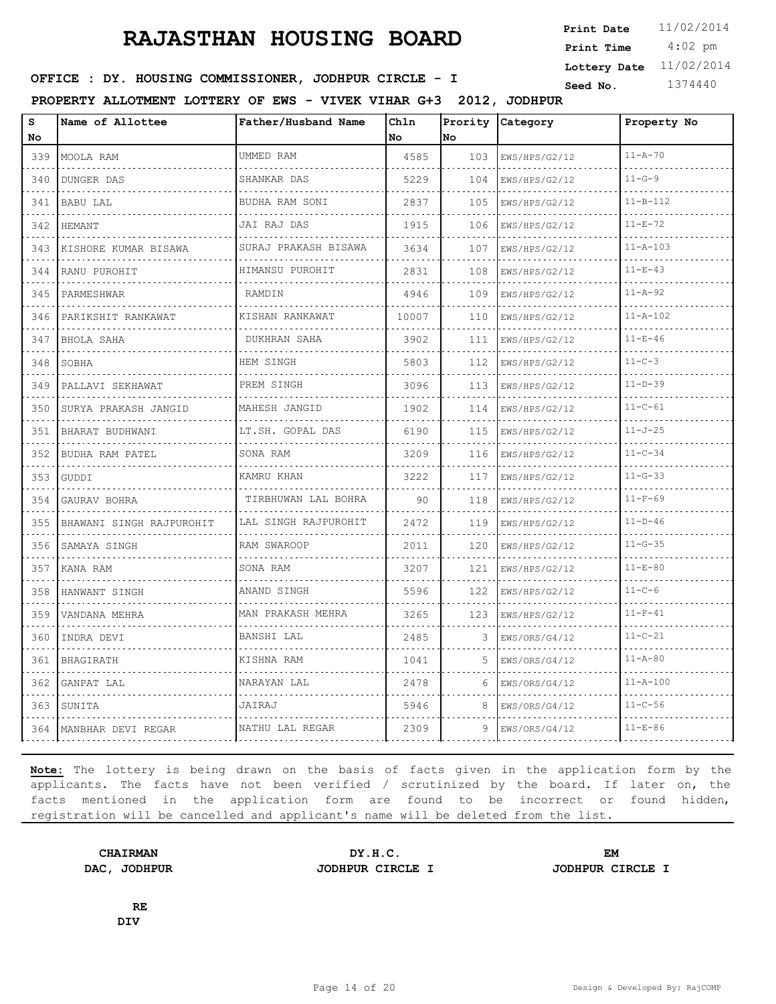4:02 pm **Print Date**  $11/02/2014$ **Print Time Lottery Date** 11/02/2014

### **SEED : DY. HOUSING COMMISSIONER, JODHPUR CIRCLE - I** Seed No. 1374440

**PROPERTY ALLOTMENT LOTTERY OF EWS - VIVEK VIHAR G+3 2012, JODHPUR**

| s<br><b>No</b>                                                                                                                   | Name of Allottee         | Father/Husband Name  | Chln<br>No. | Prority<br>No. | Category           | Property No    |
|----------------------------------------------------------------------------------------------------------------------------------|--------------------------|----------------------|-------------|----------------|--------------------|----------------|
| 339                                                                                                                              | MOOLA RAM                | UMMED RAM            | 4585        | 103            | EWS/HPS/G2/12      | $11 - A - 70$  |
| 340                                                                                                                              | .<br><b>DUNGER DAS</b>   | SHANKAR DAS          | 5229        | 104            | .<br>EWS/HPS/G2/12 | $11 - G - 9$   |
| 341                                                                                                                              | <b>BABU LAL</b>          | BUDHA RAM SONI       | 2837        | 105            | EWS/HPS/G2/12      | $11 - B - 112$ |
| 342                                                                                                                              | HEMANT                   | JAI RAJ DAS          | 1915        | 106            | EWS/HPS/G2/12      | $11 - E - 72$  |
| 343                                                                                                                              | KISHORE KUMAR BISAWA     | SURAJ PRAKASH BISAWA | 3634        | 107            | EWS/HPS/G2/12      | $11 - A - 103$ |
| 344                                                                                                                              | RANU PUROHIT             | HIMANSU PUROHIT      | 2831        | 108            | EWS/HPS/G2/12      | $11 - E - 43$  |
| 345                                                                                                                              | PARMESHWAR               | RAMDIN               | 4946        | 109            | EWS/HPS/G2/12      | $11 - A - 92$  |
| $\frac{1}{2} \left( \frac{1}{2} \right) \left( \frac{1}{2} \right) \left( \frac{1}{2} \right) \left( \frac{1}{2} \right)$<br>346 | PARIKSHIT RANKAWAT       | KISHAN RANKAWAT      | 10007       | 110            | EWS/HPS/G2/12      | $11 - A - 102$ |
| 347                                                                                                                              | BHOLA SAHA               | <b>DUKHRAN SAHA</b>  | 3902        | 111            | EWS/HPS/G2/12      | $11 - E - 46$  |
| 348                                                                                                                              | SOBHA                    | HEM SINGH            | 5803        | 112            | EWS/HPS/G2/12      | $11 - C - 3$   |
| .<br>349                                                                                                                         | PALLAVI SEKHAWAT         | PREM SINGH           | 3096        | 113            | EWS/HPS/G2/12      | $11 - D - 39$  |
| 350                                                                                                                              | SURYA PRAKASH JANGID     | MAHESH JANGID        | 1902        | 114            | EWS/HPS/G2/12      | $11 - C - 61$  |
| 351<br>$- - - -$                                                                                                                 | BHARAT BUDHWANI          | LT.SH. GOPAL DAS     | 6190        | 115            | EWS/HPS/G2/12      | $11 - J - 25$  |
| 352                                                                                                                              | BUDHA RAM PATEL          | SONA RAM             | 3209        | 116            | EWS/HPS/G2/12      | $11 - C - 34$  |
| 353                                                                                                                              | GUDDI                    | KAMRU KHAN           | 3222        | 117            | EWS/HPS/G2/12      | $11 - G - 33$  |
| 354<br>$-1 - 1 - 1$                                                                                                              | GAURAV BOHRA             | TIRBHUWAN LAL BOHRA  | 90          | 118            | EWS/HPS/G2/12      | $11 - F - 69$  |
| 355                                                                                                                              | BHAWANI SINGH RAJPUROHIT | LAL SINGH RAJPUROHIT | 2472        | 119            | EWS/HPS/G2/12      | $11 - D - 46$  |
| 356                                                                                                                              | SAMAYA SINGH             | RAM SWAROOP          | 2011        | 120            | EWS/HPS/G2/12      | $11 - G - 35$  |
| 357                                                                                                                              | KANA RAM                 | SONA RAM             | 3207        | 121            | EWS/HPS/G2/12      | $11 - E - 80$  |
| 358                                                                                                                              | HANWANT SINGH            | ANAND SINGH          | 5596        | 122            | EWS/HPS/G2/12      | $11 - C - 6$   |
| 359                                                                                                                              | VANDANA MEHRA            | MAN PRAKASH MEHRA    | 3265        | 123            | EWS/HPS/G2/12      | $11 - F - 41$  |
| 360                                                                                                                              | INDRA DEVI               | BANSHI LAL           | 2485        | 3              | EWS/ORS/G4/12      | $11 - C - 21$  |
| 361                                                                                                                              | <b>BHAGIRATH</b>         | KISHNA RAM           | 1041        | .5.            | EWS/ORS/G4/12      | $11 - A - 80$  |
| 362                                                                                                                              | GANPAT LAL               | NARAYAN LAL          | 2478        | 6              | EWS/ORS/G4/12      | $11 - A - 100$ |
| 363                                                                                                                              | SUNITA                   | JAIRAJ               | 5946        | 8              | EWS/ORS/G4/12      | $11 - C - 56$  |
| 364                                                                                                                              | MANBHAR DEVI REGAR       | NATHU LAL REGAR      | 2309        | 9              | EWS/ORS/G4/12      | $11 - E - 86$  |

**Note:** The lottery is being drawn on the basis of facts given in the application form by the applicants. The facts have not been verified / scrutinized by the board. If later on, the facts mentioned in the application form are found to be incorrect or found hidden, registration will be cancelled and applicant's name will be deleted from the list.

**CHAIRMAN DY.H.C. EM DAC, JODHPUR JODHPUR CIRCLE I JODHPUR CIRCLE I**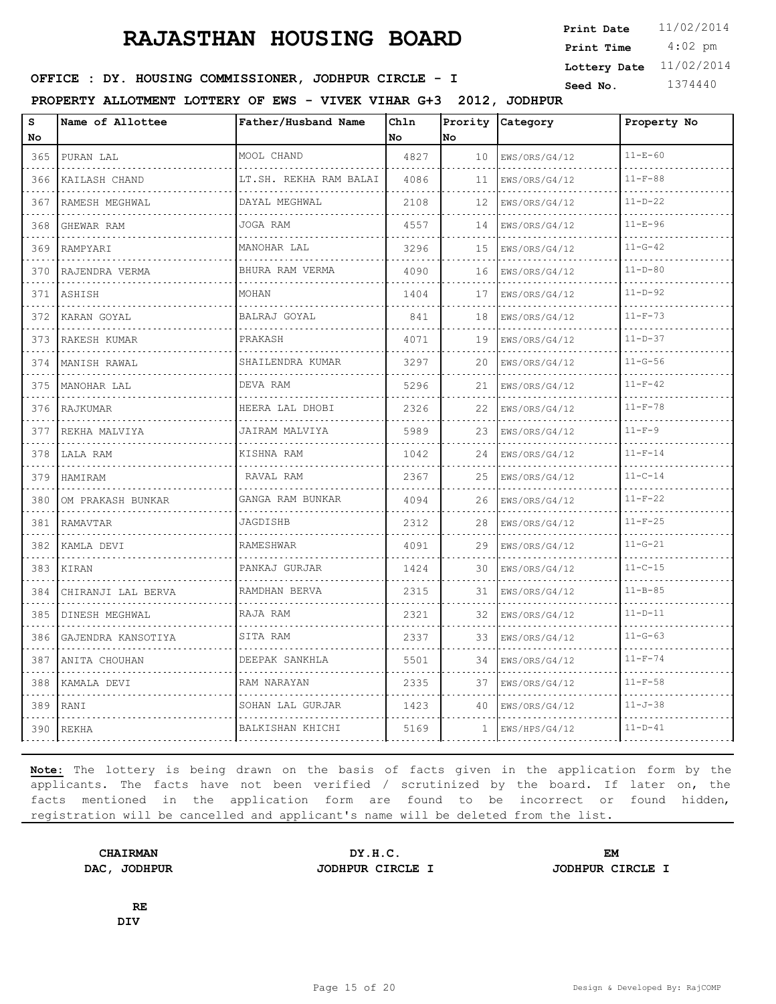4:02 pm **Print Date**  $11/02/2014$ **Print Time Lottery Date** 11/02/2014

### **SEED : DY. HOUSING COMMISSIONER, JODHPUR CIRCLE - I** Seed No. 1374440

**PROPERTY ALLOTMENT LOTTERY OF EWS - VIVEK VIHAR G+3 2012, JODHPUR**

| $\bf s$<br>No                                                                                                                    | Name of Allottee   | Father/Husband Name    | Chln<br>No | Prority<br>lno. | Category      | Property No   |
|----------------------------------------------------------------------------------------------------------------------------------|--------------------|------------------------|------------|-----------------|---------------|---------------|
| 365                                                                                                                              | PURAN LAL          | MOOL CHAND             | 4827       | 10              | EWS/ORS/G4/12 | $11 - E - 60$ |
| .<br>366                                                                                                                         | KAILASH CHAND      | LT.SH. REKHA RAM BALAI | 4086       | 11              | EWS/ORS/G4/12 | $11 - F - 88$ |
| 367                                                                                                                              | RAMESH MEGHWAL     | DAYAL MEGHWAL          | 2108       | 12              | EWS/ORS/G4/12 | $11 - D - 22$ |
| 368                                                                                                                              | GHEWAR RAM         | JOGA RAM               | 4557       | 14              | EWS/ORS/G4/12 | $11 - E - 96$ |
| $\sim$ $\sim$ $\sim$ $\sim$<br>369                                                                                               | RAMPYARI           | MANOHAR LAL            | 3296       | 15              | EWS/ORS/G4/12 | $11 - G - 42$ |
| 370                                                                                                                              | RAJENDRA VERMA     | BHURA RAM VERMA        | 4090       | 16              | EWS/ORS/G4/12 | $11 - D - 80$ |
| 371                                                                                                                              | ASHISH             | MOHAN                  | 1404       | 17              | EWS/ORS/G4/12 | $11 - D - 92$ |
| الدائد الدائد<br>372                                                                                                             | KARAN GOYAL        | BALRAJ GOYAL           | 841        | 18              | EWS/ORS/G4/12 | $11-F-73$     |
| 373                                                                                                                              | RAKESH KUMAR       | PRAKASH                | 4071       | 19              | EWS/ORS/G4/12 | $11 - D - 37$ |
| 374                                                                                                                              | MANISH RAWAL       | SHAILENDRA KUMAR<br>.  | 3297       | 20              | EWS/ORS/G4/12 | $11 - G - 56$ |
| .<br>375                                                                                                                         | MANOHAR LAL        | DEVA RAM               | 5296       | 21              | EWS/ORS/G4/12 | $11-F-42$     |
| 376                                                                                                                              | RAJKUMAR           | HEERA LAL DHOBI        | 2326       | 22              | EWS/ORS/G4/12 | $11 - F - 78$ |
| 377                                                                                                                              | REKHA MALVIYA      | JAIRAM MALVIYA         | 5989       | 23              | EWS/ORS/G4/12 | $11-F-9$      |
| .<br>378                                                                                                                         | LALA RAM           | KISHNA RAM             | 1042       | 24              | EWS/ORS/G4/12 | $11-F-14$     |
| 379                                                                                                                              | HAMIRAM            | RAVAL RAM              | 2367       | 25              | EWS/ORS/G4/12 | $11 - C - 14$ |
| 380<br>.                                                                                                                         | OM PRAKASH BUNKAR  | GANGA RAM BUNKAR       | 4094       | 26              | EWS/ORS/G4/12 | $11 - F - 22$ |
| 381                                                                                                                              | RAMAVTAR           | JAGDISHB               | 2312       | 28              | EWS/ORS/G4/12 | $11-F-25$     |
| 382                                                                                                                              | KAMLA DEVI         | <b>RAMESHWAR</b>       | 4091       | 29              | EWS/ORS/G4/12 | $11 - G - 21$ |
| 383                                                                                                                              | KIRAN              | PANKAJ GURJAR          | 1424       | 30              | EWS/ORS/G4/12 | $11 - C - 15$ |
| 384<br>$- - - -$                                                                                                                 | CHIRANJI LAL BERVA | RAMDHAN BERVA          | 2315       | 31              | EWS/ORS/G4/12 | $11 - B - 85$ |
| 385                                                                                                                              | DINESH MEGHWAL     | RAJA RAM               | 2321       | 32              | EWS/ORS/G4/12 | $11 - D - 11$ |
| $\frac{1}{2} \left( \frac{1}{2} \right) \left( \frac{1}{2} \right) \left( \frac{1}{2} \right) \left( \frac{1}{2} \right)$<br>386 | GAJENDRA KANSOTIYA | SITA RAM               | 2337       | 33              | EWS/ORS/G4/12 | $11 - G - 63$ |
| 387<br>$\sim$ $\sim$ $\sim$ $\sim$                                                                                               | ANITA CHOUHAN      | DEEPAK SANKHLA         | 5501       | 34              | EWS/ORS/G4/12 | $11 - F - 74$ |
| 388                                                                                                                              | KAMALA DEVI        | RAM NARAYAN            | 2335       | 37              | EWS/ORS/G4/12 | $11 - F - 58$ |
| 389                                                                                                                              | RANI               | SOHAN LAL GURJAR       | 1423       | 40              | EWS/ORS/G4/12 | $11 - J - 38$ |
| 390                                                                                                                              | <b>REKHA</b>       | BALKISHAN KHICHI       | 5169       | 1               | EWS/HPS/G4/12 | $11 - D - 41$ |

**Note:** The lottery is being drawn on the basis of facts given in the application form by the applicants. The facts have not been verified / scrutinized by the board. If later on, the facts mentioned in the application form are found to be incorrect or found hidden, registration will be cancelled and applicant's name will be deleted from the list.

**DAC, JODHPUR JODHPUR CIRCLE I JODHPUR CIRCLE I**

**CHAIRMAN DY.H.C. EM**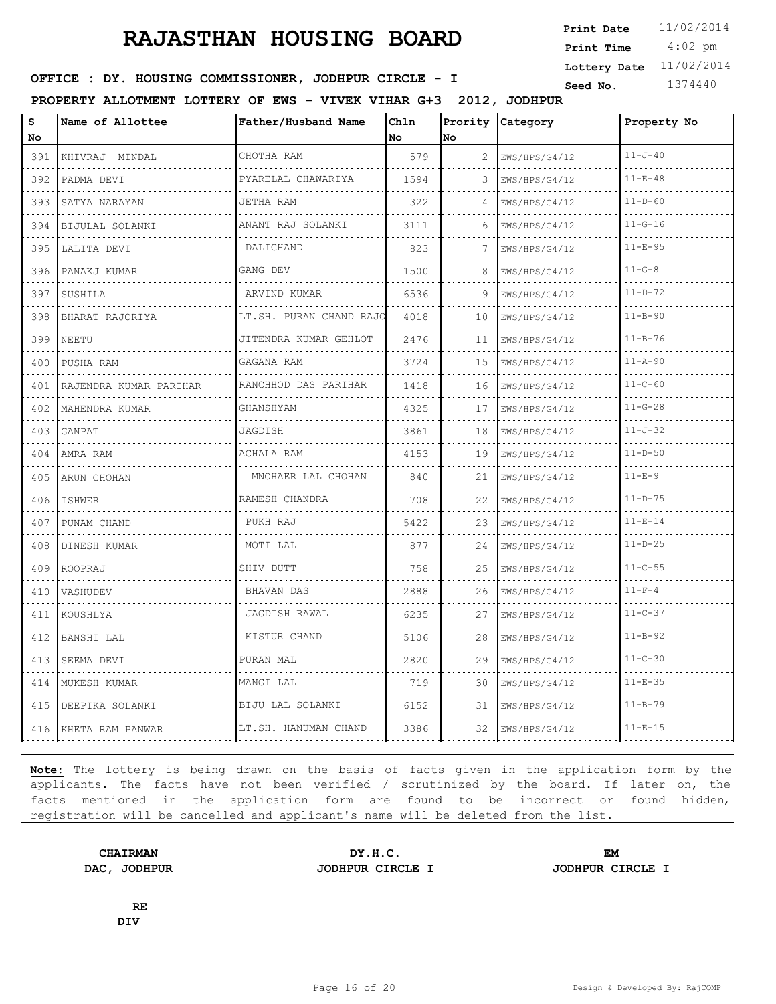4:02 pm **Print Date**  $11/02/2014$ **Print Time Lottery Date** 11/02/2014

### **SEED : DY. HOUSING COMMISSIONER, JODHPUR CIRCLE - I** Seed No. 1374440

**PROPERTY ALLOTMENT LOTTERY OF EWS - VIVEK VIHAR G+3 2012, JODHPUR**

| S<br>No                                                                                                                                     | Name of Allottee       | Father/Husband Name             | Ch1n<br>No | <b>No</b> | Prority Category   | Property No   |
|---------------------------------------------------------------------------------------------------------------------------------------------|------------------------|---------------------------------|------------|-----------|--------------------|---------------|
| 391                                                                                                                                         | KHIVRAJ MINDAL         | CHOTHA RAM<br>dia a dia a dia a | 579        | 2         | EWS/HPS/G4/12      | $11 - J - 40$ |
| .<br>392                                                                                                                                    | PADMA DEVI             | PYARELAL CHAWARIYA              | 1594       |           | .<br>EWS/HPS/G4/12 | $11 - E - 48$ |
| 393                                                                                                                                         | SATYA NARAYAN          | JETHA RAM                       | 322        | $\Delta$  | EWS/HPS/G4/12      | $11 - D - 60$ |
| 394                                                                                                                                         | .<br>BIJULAL SOLANKI   | ANANT RAJ SOLANKI               | 3111       | 6         | EWS/HPS/G4/12<br>. | $11 - G - 16$ |
| .<br>395                                                                                                                                    | LALITA DEVI            | DALICHAND                       | 823        |           | EWS/HPS/G4/12      | $11 - E - 95$ |
| 396                                                                                                                                         | PANAKJ KUMAR           | GANG DEV                        | 1500       | 8         | EWS/HPS/G4/12      | $11 - G - 8$  |
| 397                                                                                                                                         | .<br>SUSHILA           | ARVIND KUMAR                    | 6536       | 9         | EWS/HPS/G4/12      | $11 - D - 72$ |
| .<br>398                                                                                                                                    | BHARAT RAJORIYA        | LT.SH. PURAN CHAND RAJO         | 4018       | 10        | EWS/HPS/G4/12      | $11 - B - 90$ |
| 399                                                                                                                                         | NEETU                  | JITENDRA KUMAR GEHLOT<br>.      | 2476       | 11        | EWS/HPS/G4/12      | $11 - B - 76$ |
| 400                                                                                                                                         | PUSHA RAM              | GAGANA RAM                      | 3724       | 15        | EWS/HPS/G4/12      | $11 - A - 90$ |
| 401                                                                                                                                         | RAJENDRA KUMAR PARIHAR | RANCHHOD DAS PARIHAR            | 1418       | 16        | EWS/HPS/G4/12      | $11 - C - 60$ |
| $\sim$ $\sim$ $\sim$ $\sim$<br>402                                                                                                          | MAHENDRA KUMAR<br>.    | GHANSHYAM                       | 4325       | 17        | EWS/HPS/G4/12      | $11 - G - 28$ |
| 403                                                                                                                                         | GANPAT                 | JAGDISH                         | 3861       | 18        | EWS/HPS/G4/12      | $11 - J - 32$ |
| 404                                                                                                                                         | AMRA RAM               | ACHALA RAM                      | 4153       | 19        | EWS/HPS/G4/12      | $11 - D - 50$ |
| 405                                                                                                                                         | ARUN CHOHAN            | MNOHAER LAL CHOHAN<br>.         | 840        | 21        | EWS/HPS/G4/12      | $11 - E - 9$  |
| $\mathcal{L}^{\mathcal{A}}\left( \mathcal{A}^{\mathcal{A}}\right) =\mathcal{L}^{\mathcal{A}}\left( \mathcal{A}^{\mathcal{A}}\right)$<br>406 | ISHWER                 | RAMESH CHANDRA                  | 708        | 22        | EWS/HPS/G4/12      | $11 - D - 75$ |
| 407                                                                                                                                         | PUNAM CHAND            | PUKH RAJ                        | 5422       | 23        | EWS/HPS/G4/12      | $11 - E - 14$ |
| $\cdots$<br>408                                                                                                                             | DINESH KUMAR           | MOTI LAL                        | 877        | 24        | EWS/HPS/G4/12      | $11 - D - 25$ |
| .<br>409                                                                                                                                    | ROOPRAJ                | SHIV DUTT                       | 758        | 25        | EWS/HPS/G4/12      | $11 - C - 55$ |
| 410                                                                                                                                         | VASHUDEV               | BHAVAN DAS                      | 2888       | 26        | EWS/HPS/G4/12      | $11 - F - 4$  |
| $\mathcal{L}^{\mathcal{A}}\left( \mathcal{A}^{\mathcal{A}}\right) =\mathcal{L}^{\mathcal{A}}\left( \mathcal{A}^{\mathcal{A}}\right)$<br>411 | KOUSHLYA               | JAGDISH RAWAL                   | 6235       | 27        | EWS/HPS/G4/12      | $11 - C - 37$ |
| .<br>412                                                                                                                                    | BANSHI LAL             | KISTUR CHAND                    | 5106       | 28        | EWS/HPS/G4/12      | $11 - B - 92$ |
| 413                                                                                                                                         | SEEMA DEVI             | PURAN MAL                       | 2820       | 29        | EWS/HPS/G4/12      | $11 - C - 30$ |
| 414<br>$\sim$ $\sim$ $\sim$                                                                                                                 | MUKESH KUMAR           | MANGI LAL                       | 719        | 30        | EWS/HPS/G4/12      | $11 - E - 35$ |
| 415                                                                                                                                         | DEEPIKA SOLANKI        | BIJU LAL SOLANKI                | 6152       | 31        | EWS/HPS/G4/12      | $11 - B - 79$ |
|                                                                                                                                             | 416 KHETA RAM PANWAR   | LT.SH. HANUMAN CHAND            | 3386       | 32        | EWS/HPS/G4/12      | $11 - E - 15$ |

**Note:** The lottery is being drawn on the basis of facts given in the application form by the applicants. The facts have not been verified / scrutinized by the board. If later on, the facts mentioned in the application form are found to be incorrect or found hidden, registration will be cancelled and applicant's name will be deleted from the list.

**DAC, JODHPUR JODHPUR CIRCLE I JODHPUR CIRCLE I**

**CHAIRMAN DY.H.C. EM**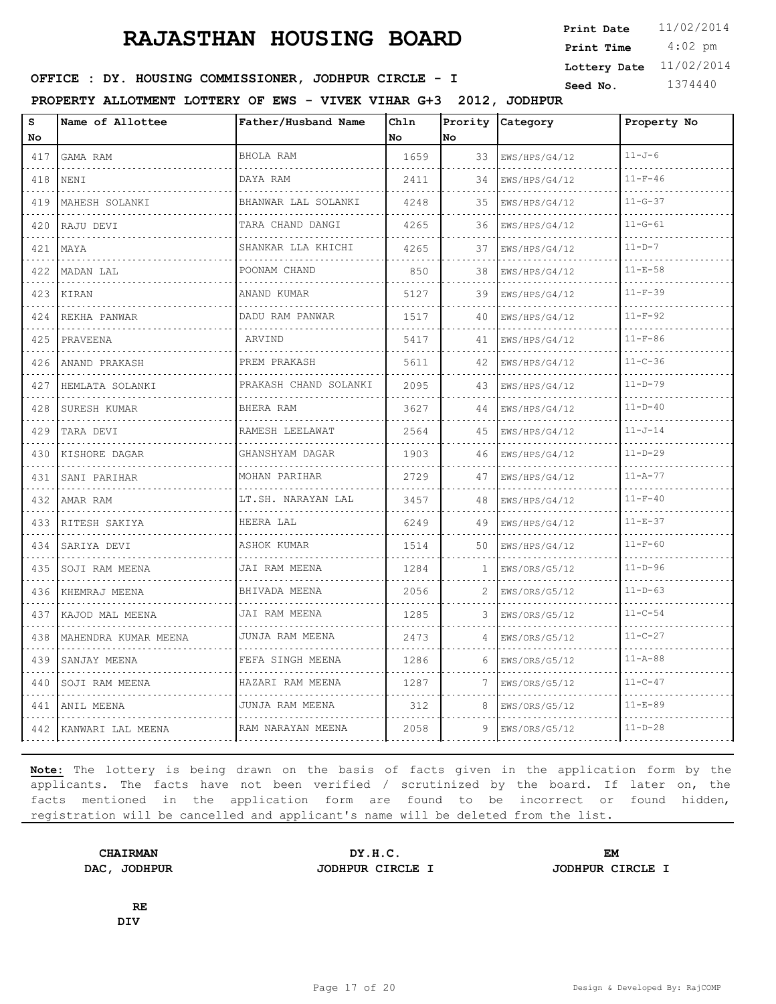4:02 pm **Print Date**  $11/02/2014$ **Print Time Lottery Date** 11/02/2014

### **SEED : DY. HOUSING COMMISSIONER, JODHPUR CIRCLE - I** Seed No. 1374440

**PROPERTY ALLOTMENT LOTTERY OF EWS - VIVEK VIHAR G+3 2012, JODHPUR**

| s<br>No          | Name of Allottee                            | Father/Husband Name       | Chln<br><b>No</b> | Prority<br>lNo. | Category           | Property No   |
|------------------|---------------------------------------------|---------------------------|-------------------|-----------------|--------------------|---------------|
| 417              | GAMA RAM                                    | BHOLA RAM                 | 1659              | 33              | EWS/HPS/G4/12      | $11 - J - 6$  |
| 418              | <b>NENI</b>                                 | DAYA RAM                  | 2411              | 34              | .<br>EWS/HPS/G4/12 | $11-F-46$     |
| 419              | MAHESH SOLANKI                              | BHANWAR LAL SOLANKI       | 4248              | 35              | EWS/HPS/G4/12      | $11 - G - 37$ |
| 420              | RAJU DEVI                                   | TARA CHAND DANGI          | 4265              | 36              | EWS/HPS/G4/12      | $11 - G - 61$ |
| 421              | $\cdots$<br>MAYA                            | .<br>SHANKAR LLA KHICHI   | 4265              | 37              | EWS/HPS/G4/12      | $11 - D - 7$  |
| 422              | MADAN LAL                                   | POONAM CHAND              | 850               | 38              | EWS/HPS/G4/12      | $11 - E - 58$ |
| 423              | KIRAN                                       | ANAND KUMAR               | 5127              | 39              | EWS/HPS/G4/12      | $11 - F - 39$ |
| $- - - -$<br>424 | .<br>REKHA PANWAR                           | DADU RAM PANWAR           | 1517              | 40              | EWS/HPS/G4/12      | $11-F-92$     |
| 425              | PRAVEENA                                    | ARVIND                    | 5417              | 41              | EWS/HPS/G4/12      | $11 - F - 86$ |
| 426              | ANAND PRAKASH                               | PREM PRAKASH              | 5611              | 42              | EWS/HPS/G4/12      | $11 - C - 36$ |
| 427              | HEMLATA SOLANKI                             | PRAKASH CHAND SOLANKI     | 2095              | 43              | EWS/HPS/G4/12      | $11 - D - 79$ |
| 428              | SURESH KUMAR                                | BHERA RAM                 | 3627              | 44              | EWS/HPS/G4/12      | $11 - D - 40$ |
| 429              | TARA DEVI                                   | RAMESH LEELAWAT           | 2564              | 45              | EWS/HPS/G4/12      | $11 - J - 14$ |
| 430              | KISHORE DAGAR                               | GHANSHYAM DAGAR           | 1903              | 46              | EWS/HPS/G4/12      | $11 - D - 29$ |
| 431              | SANI PARIHAR<br><u>a a a a a a a c</u> hean | MOHAN PARIHAR<br>.        | 2729              | 47              | EWS/HPS/G4/12      | $11 - A - 77$ |
| 432              | AMAR RAM                                    | LT.SH. NARAYAN LAL        | 3457              | 48              | EWS/HPS/G4/12      | $11 - F - 40$ |
| 433              | RITESH SAKIYA                               | HEERA LAL                 | 6249              | 49              | EWS/HPS/G4/12      | $11 - E - 37$ |
| 434              | SARIYA DEVI<br>.                            | ASHOK KUMAR               | 1514              | 50              | EWS/HPS/G4/12      | $11 - F - 60$ |
| 435              | SOJI RAM MEENA                              | JAI RAM MEENA             | 1284              | 1               | EWS/ORS/G5/12      | $11-D-96$     |
| 436              | KHEMRAJ MEENA                               | BHIVADA MEENA             | 2056              | 2               | EWS/ORS/G5/12      | $11 - D - 63$ |
| 437              | KAJOD MAL MEENA                             | JAI RAM MEENA<br><u>.</u> | 1285              | 3               | EWS/ORS/G5/12      | $11 - C - 54$ |
| 438              | MAHENDRA KUMAR MEENA                        | JUNJA RAM MEENA           | 2473              | 4               | EWS/ORS/G5/12      | $11 - C - 27$ |
| 439              | SANJAY MEENA                                | FEFA SINGH MEENA          | 1286              | 6               | EWS/ORS/G5/12      | $11 - A - 88$ |
| 440              | SOJI RAM MEENA                              | HAZARI RAM MEENA<br>.     | 1287              | 7               | EWS/ORS/G5/12      | $11 - C - 47$ |
| 441              | IANIL MEENA                                 | JUNJA RAM MEENA           | 312               | 8               | EWS/ORS/G5/12      | $11 - E - 89$ |
|                  | 442 KANWARI LAL MEENA                       | RAM NARAYAN MEENA         | 2058              | 9               | EWS/ORS/G5/12      | $11-D-28$     |

**Note:** The lottery is being drawn on the basis of facts given in the application form by the applicants. The facts have not been verified / scrutinized by the board. If later on, the facts mentioned in the application form are found to be incorrect or found hidden, registration will be cancelled and applicant's name will be deleted from the list.

**CHAIRMAN DY.H.C. EM DAC, JODHPUR JODHPUR CIRCLE I JODHPUR CIRCLE I**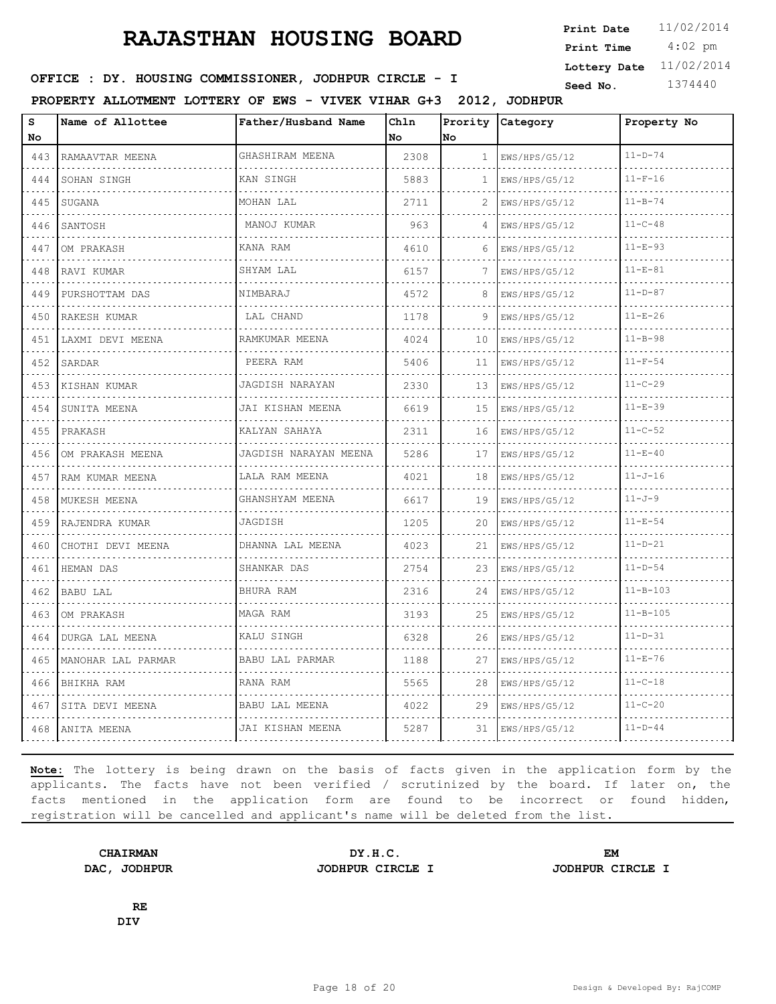4:02 pm **Print Date**  $11/02/2014$ **Print Time Lottery Date** 11/02/2014

### **SEED : DY. HOUSING COMMISSIONER, JODHPUR CIRCLE - I** Seed No. 1374440

**PROPERTY ALLOTMENT LOTTERY OF EWS - VIVEK VIHAR G+3 2012, JODHPUR**

| S<br>No                                                   | Name of Allottee   | Father/Husband Name   | Chln<br>No | Prority<br>lno. | Category                             | Property No    |
|-----------------------------------------------------------|--------------------|-----------------------|------------|-----------------|--------------------------------------|----------------|
| 443                                                       | RAMAAVTAR MEENA    | GHASHIRAM MEENA       | 2308       | 1               | EWS/HPS/G5/12                        | $11 - D - 74$  |
| د د د د<br>444                                            | SOHAN SINGH        | KAN SINGH             | 5883       | 1               | .<br>EWS/HPS/G5/12                   | $11-F-16$      |
| 445                                                       | SUGANA             | MOHAN LAL             | 2711       | 2               | EWS/HPS/G5/12                        | $11 - B - 74$  |
| 446                                                       | SANTOSH            | MANOJ KUMAR           | 963        | $\Delta$        | EWS/HPS/G5/12<br>.                   | $11 - C - 48$  |
| $\sim$ $\sim$ $\sim$ $\sim$<br>447                        | OM PRAKASH         | KANA RAM              | 4610       | 6               | EWS/HPS/G5/12                        | $11 - E - 93$  |
| 448                                                       | RAVI KUMAR         | SHYAM LAL             | 6157       | 7               | EWS/HPS/G5/12                        | $11 - E - 81$  |
| 449                                                       | PURSHOTTAM DAS     | NIMBARAJ              | 4572       | 8               | EWS/HPS/G5/12<br>discussions and all | $11 - D - 87$  |
| $\omega$ is a $\omega$<br>450                             | RAKESH KUMAR       | LAL CHAND             | 1178       | 9               | EWS/HPS/G5/12                        | $11 - E - 26$  |
| 451                                                       | LAXMI DEVI MEENA   | RAMKUMAR MEENA        | 4024       | 10              | EWS/HPS/G5/12                        | $11 - B - 98$  |
| 452                                                       | SARDAR             | PEERA RAM             | 5406       | 11              | EWS/HPS/G5/12                        | $11 - F - 54$  |
| $\sim 100$ km s $^{-1}$<br>453                            | KISHAN KUMAR       | JAGDISH NARAYAN       | 2330       | 13              | EWS/HPS/G5/12                        | $11 - C - 29$  |
| 454                                                       | SUNITA MEENA       | JAI KISHAN MEENA      | 6619       | 15              | EWS/HPS/G5/12                        | $11 - E - 39$  |
| 455                                                       | PRAKASH            | KALYAN SAHAYA<br>.    | 2311       | 16              | EWS/HPS/G5/12<br>.                   | $11 - C - 52$  |
| $\omega_{\rm c} = \omega_{\rm c} = \omega_{\rm c}$<br>456 | OM PRAKASH MEENA   | JAGDISH NARAYAN MEENA | 5286       | 17              | EWS/HPS/G5/12                        | $11 - E - 40$  |
| 457                                                       | RAM KUMAR MEENA    | LALA RAM MEENA        | 4021       | 18              | EWS/HPS/G5/12                        | $11 - J - 16$  |
| 458                                                       | MUKESH MEENA       | GHANSHYAM MEENA       | 6617       | 19              | EWS/HPS/G5/12                        | $11 - J - 9$   |
| $\sim$ $\sim$ $\sim$ $\sim$<br>459                        | RAJENDRA KUMAR     | JAGDISH               | 1205       | 20              | EWS/HPS/G5/12                        | $11 - E - 54$  |
| 460                                                       | CHOTHI DEVI MEENA  | DHANNA LAL MEENA      | 4023       | 21              | EWS/HPS/G5/12                        | $11 - D - 21$  |
| 461                                                       | HEMAN DAS          | SHANKAR DAS<br>.      | 2754       | 23              | EWS/HPS/G5/12                        | $11 - D - 54$  |
| $\sim$ $\sim$ $\sim$<br>462                               | BABU LAL           | BHURA RAM             | 2316       | 24              | EWS/HPS/G5/12                        | $11 - B - 103$ |
| 463                                                       | OM PRAKASH         | MAGA RAM              | 3193       | 25              | EWS/HPS/G5/12                        | $11 - B - 105$ |
| 464                                                       | DURGA LAL MEENA    | KALU SINGH            | 6328       | 26              | EWS/HPS/G5/12                        | $11 - D - 31$  |
| الداعات الدائد<br>465                                     | MANOHAR LAL PARMAR | BABU LAL PARMAR       | 1188       | 27              | EWS/HPS/G5/12                        | $11 - E - 76$  |
| 466                                                       | BHIKHA RAM         | RANA RAM              | 5565       | 28              | EWS/HPS/G5/12                        | $11 - C - 18$  |
| 467                                                       | SITA DEVI MEENA    | BABU LAL MEENA        | 4022       | 29              | EWS/HPS/G5/12                        | $11 - C - 20$  |
| $\sim$ $\sim$ $\sim$ $\sim$<br>468                        | ANITA MEENA        | JAI KISHAN MEENA      | 5287       | 31              | EWS/HPS/G5/12                        | $11 - D - 44$  |

**Note:** The lottery is being drawn on the basis of facts given in the application form by the applicants. The facts have not been verified / scrutinized by the board. If later on, the facts mentioned in the application form are found to be incorrect or found hidden, registration will be cancelled and applicant's name will be deleted from the list.

**CHAIRMAN DY.H.C. EM DAC, JODHPUR JODHPUR CIRCLE I JODHPUR CIRCLE I**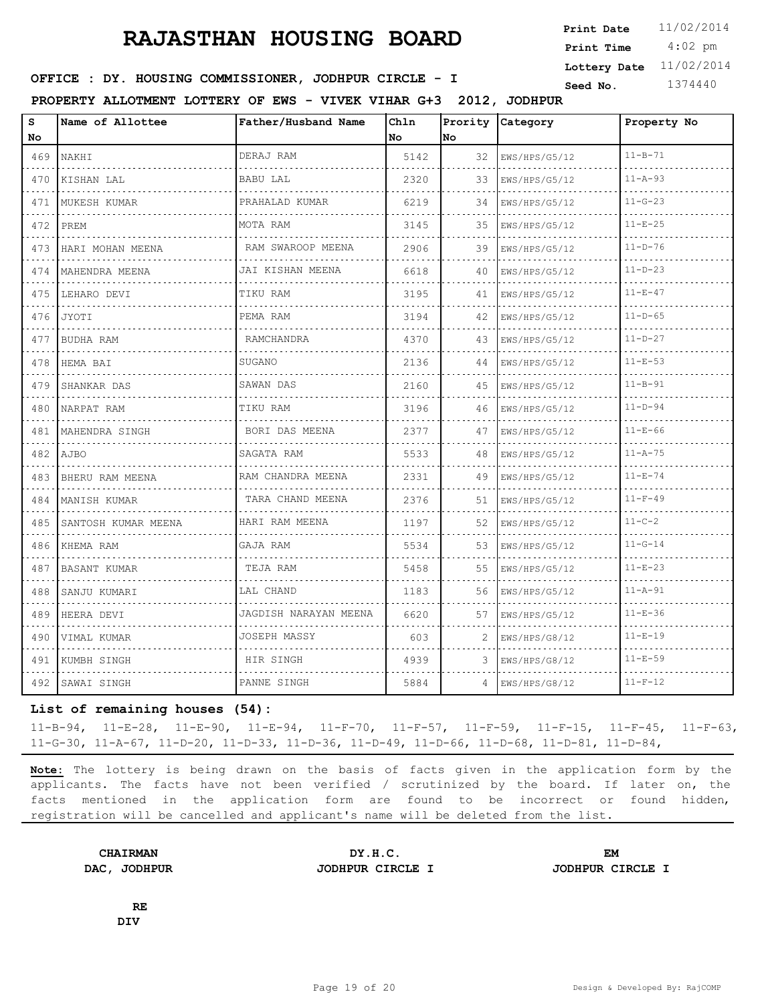4:02 pm **Print Date Print Time Lottery Date** 11/02/2014

## **SEED : DY. HOUSING COMMISSIONER, JODHPUR CIRCLE - I** Seed No. 1374440

**PROPERTY ALLOTMENT LOTTERY OF EWS - VIVEK VIHAR G+3 2012, JODHPUR**

| s<br>No | Name of Allottee     | Father/Husband Name   | Ch1n<br>No. | Prority<br>lNo. | Category      | Property No   |
|---------|----------------------|-----------------------|-------------|-----------------|---------------|---------------|
| 469     | NAKHI                | DERAJ RAM             | 5142        | 32              | EWS/HPS/G5/12 | $11 - B - 71$ |
| 470     | KISHAN LAL           | <b>BABU LAL</b>       | 2320        | 33              | EWS/HPS/G5/12 | $11 - A - 93$ |
| 471     | MUKESH KUMAR         | PRAHALAD KUMAR        | 6219        | 34              | EWS/HPS/G5/12 | $11 - G - 23$ |
| 472     | PREM                 | MOTA RAM              | 3145        | 35              | EWS/HPS/G5/12 | $11 - E - 25$ |
| 473     | HARI MOHAN MEENA     | RAM SWAROOP MEENA     | 2906        | 39              | EWS/HPS/G5/12 | $11 - D - 76$ |
|         | 474   MAHENDRA MEENA | JAI KISHAN MEENA      | 6618        | 40              | EWS/HPS/G5/12 | $11 - D - 23$ |
| 475     | LEHARO DEVI          | TIKU RAM              | 3195        | 41              | EWS/HPS/G5/12 | $11 - E - 47$ |
| 476     | JYOTI                | PEMA RAM              | 3194        | 42              | EWS/HPS/G5/12 | $11 - D - 65$ |
| 477     | BUDHA RAM            | RAMCHANDRA            | 4370        | 43              | EWS/HPS/G5/12 | $11 - D - 27$ |
| 478     | HEMA BAI             | SUGANO                | 2136        | 44              | EWS/HPS/G5/12 | $11 - E - 53$ |
| 479     | SHANKAR DAS          | SAWAN DAS             | 2160        | 45              | EWS/HPS/G5/12 | $11 - B - 91$ |
| 480     | NARPAT RAM           | TIKU RAM              | 3196        | 46              | EWS/HPS/G5/12 | $11 - D - 94$ |
| 481     | MAHENDRA SINGH       | BORI DAS MEENA        | 2377        | 47              | EWS/HPS/G5/12 | $11 - E - 66$ |
| 482     | <b>AJBO</b>          | SAGATA RAM            | 5533        | 48              | EWS/HPS/G5/12 | $11 - A - 75$ |
| 483     | BHERU RAM MEENA      | RAM CHANDRA MEENA     | 2331        | 49              | EWS/HPS/G5/12 | $11 - E - 74$ |
| 484     | MANISH KUMAR         | TARA CHAND MEENA      | 2376        | 51              | EWS/HPS/G5/12 | $11 - F - 49$ |
| 485     | SANTOSH KUMAR MEENA  | HARI RAM MEENA        | 1197        | 52              | EWS/HPS/G5/12 | $11 - C - 2$  |
| 486     | KHEMA RAM            | GAJA RAM              | 5534        | 53              | EWS/HPS/G5/12 | $11 - G - 14$ |
| 487     | BASANT KUMAR         | TEJA RAM              | 5458        | 55              | EWS/HPS/G5/12 | $11 - E - 23$ |
| 488     | SANJU KUMARI         | LAL CHAND             | 1183        | 56              | EWS/HPS/G5/12 | $11 - A - 91$ |
| 489     | HEERA DEVI           | JAGDISH NARAYAN MEENA | 6620        | 57              | EWS/HPS/G5/12 | $11 - E - 36$ |
| 490     | VIMAL KUMAR          | JOSEPH MASSY          | 603         | 2.              | EWS/HPS/G8/12 | $11 - E - 19$ |
| 491     | KUMBH SINGH          | HIR SINGH             | 4939        | 3               | EWS/HPS/G8/12 | $11 - E - 59$ |
| 492     | SAWAI SINGH          | PANNE SINGH           | 5884        | $\overline{4}$  | ENS/HPS/G8/12 | $11 - F - 12$ |

#### **List of remaining houses (54):**

11-B-94, 11-E-28, 11-E-90, 11-E-94, 11-F-70, 11-F-57, 11-F-59, 11-F-15, 11-F-45, 11-F-63, 11-G-30, 11-A-67, 11-D-20, 11-D-33, 11-D-36, 11-D-49, 11-D-66, 11-D-68, 11-D-81, 11-D-84,

**Note:** The lottery is being drawn on the basis of facts given in the application form by the applicants. The facts have not been verified / scrutinized by the board. If later on, the facts mentioned in the application form are found to be incorrect or found hidden, registration will be cancelled and applicant's name will be deleted from the list.

**DAC, JODHPUR JODHPUR CIRCLE I JODHPUR CIRCLE I**

**CHAIRMAN DY.H.C. EM**